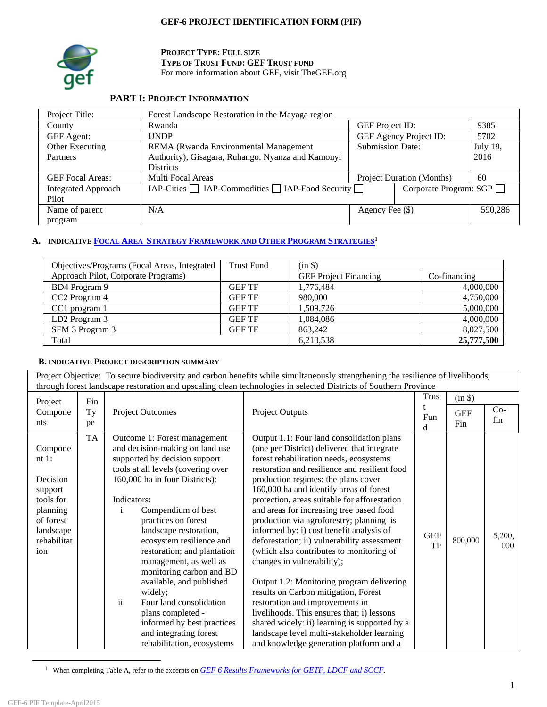## **GEF-6 PROJECT IDENTIFICATION FORM (PIF)**



**PROJECT TYPE: FULL SIZE TYPE OF TRUST FUND: GEF TRUST FUND** For more information about GEF, visit TheGEF.org

# **PART I: PROJECT INFORMATION**

| Project Title:             | Forest Landscape Restoration in the Mayaga region      |                         |                                  |          |
|----------------------------|--------------------------------------------------------|-------------------------|----------------------------------|----------|
| County                     | Rwanda                                                 | <b>GEF</b> Project ID:  |                                  | 9385     |
| <b>GEF</b> Agent:          | <b>UNDP</b>                                            |                         | GEF Agency Project ID:           | 5702     |
| Other Executing            | REMA (Rwanda Environmental Management                  | <b>Submission Date:</b> |                                  | July 19, |
| Partners                   | Authority), Gisagara, Ruhango, Nyanza and Kamonyi      |                         |                                  | 2016     |
|                            | <b>Districts</b>                                       |                         |                                  |          |
| <b>GEF</b> Focal Areas:    | Multi Focal Areas                                      |                         | <b>Project Duration (Months)</b> | 60       |
| <b>Integrated Approach</b> | $IAP-Cities$ $IAP-Commodities$ $IAP-Food$ Security $I$ |                         | Corporate Program: SGP           |          |
| Pilot                      |                                                        |                         |                                  |          |
| Name of parent             | N/A                                                    | Agency Fee (\$)         |                                  | 590,286  |
| program                    |                                                        |                         |                                  |          |

# **A. INDICATIVE FOCAL AREA STRATEGY FRAMEWORK AND OTHER PROGRAM STRATEGIES1**

| Objectives/Programs (Focal Areas, Integrated | Trust Fund    | (in \$)                      |              |
|----------------------------------------------|---------------|------------------------------|--------------|
| Approach Pilot, Corporate Programs)          |               | <b>GEF</b> Project Financing | Co-financing |
| BD4 Program 9                                | <b>GEF TF</b> | 1,776,484                    | 4,000,000    |
| CC <sub>2</sub> Program 4                    | <b>GEF TF</b> | 980,000                      | 4,750,000    |
| CC1 program 1                                | <b>GEF TF</b> | 1.509.726                    | 5,000,000    |
| LD <sub>2</sub> Program 3                    | <b>GEF TF</b> | 1,084,086                    | 4,000,000    |
| SFM 3 Program 3                              | <b>GEF TF</b> | 863,242                      | 8,027,500    |
| Total                                        |               | 6,213,538                    | 25,777,500   |

#### **B. INDICATIVE PROJECT DESCRIPTION SUMMARY**

Project Objective: To secure biodiversity and carbon benefits while simultaneously strengthening the resilience of livelihoods, through forest landscape restoration and upscaling clean technologies in selected Districts of Southern Province

| Project                                                                                                             | Fin       |                                                                                                                                                                                                                                                                                                                                                                                                                                                                                                                                                                           |                                                                                                                                                                                                                                                                                                                                                                                                                                                                                                                                                                                                                                                                                                                                                                                                                                                                                                     | <b>Trus</b>      | (in \$)           |                    |
|---------------------------------------------------------------------------------------------------------------------|-----------|---------------------------------------------------------------------------------------------------------------------------------------------------------------------------------------------------------------------------------------------------------------------------------------------------------------------------------------------------------------------------------------------------------------------------------------------------------------------------------------------------------------------------------------------------------------------------|-----------------------------------------------------------------------------------------------------------------------------------------------------------------------------------------------------------------------------------------------------------------------------------------------------------------------------------------------------------------------------------------------------------------------------------------------------------------------------------------------------------------------------------------------------------------------------------------------------------------------------------------------------------------------------------------------------------------------------------------------------------------------------------------------------------------------------------------------------------------------------------------------------|------------------|-------------------|--------------------|
| Compone<br>nts                                                                                                      | Ty<br>pe  | <b>Project Outcomes</b>                                                                                                                                                                                                                                                                                                                                                                                                                                                                                                                                                   | <b>Project Outputs</b>                                                                                                                                                                                                                                                                                                                                                                                                                                                                                                                                                                                                                                                                                                                                                                                                                                                                              | Fun<br>d         | <b>GEF</b><br>Fin | $Co-$<br>fin       |
| Compone<br>$nt 1$ :<br>Decision<br>support<br>tools for<br>planning<br>of forest<br>landscape<br>rehabilitat<br>ion | <b>TA</b> | Outcome 1: Forest management<br>and decision-making on land use<br>supported by decision support<br>tools at all levels (covering over<br>160,000 ha in four Districts):<br>Indicators:<br>Compendium of best<br>i.<br>practices on forest<br>landscape restoration,<br>ecosystem resilience and<br>restoration; and plantation<br>management, as well as<br>monitoring carbon and BD<br>available, and published<br>widely;<br>ii.<br>Four land consolidation<br>plans completed -<br>informed by best practices<br>and integrating forest<br>rehabilitation, ecosystems | Output 1.1: Four land consolidation plans<br>(one per District) delivered that integrate<br>forest rehabilitation needs, ecosystems<br>restoration and resilience and resilient food<br>production regimes: the plans cover<br>160,000 ha and identify areas of forest<br>protection, areas suitable for afforestation<br>and areas for increasing tree based food<br>production via agroforestry; planning is<br>informed by: i) cost benefit analysis of<br>deforestation; ii) vulnerability assessment<br>(which also contributes to monitoring of<br>changes in vulnerability);<br>Output 1.2: Monitoring program delivering<br>results on Carbon mitigation, Forest<br>restoration and improvements in<br>livelihoods. This ensures that; i) lessons<br>shared widely: ii) learning is supported by a<br>landscape level multi-stakeholder learning<br>and knowledge generation platform and a | <b>GEF</b><br>TF | 800,000           | 5,200,<br>$000 \,$ |

<sup>1</sup> When completing Table A, refer to the excerpts on *GEF 6 Results Frameworks for GETF, LDCF and SCCF*.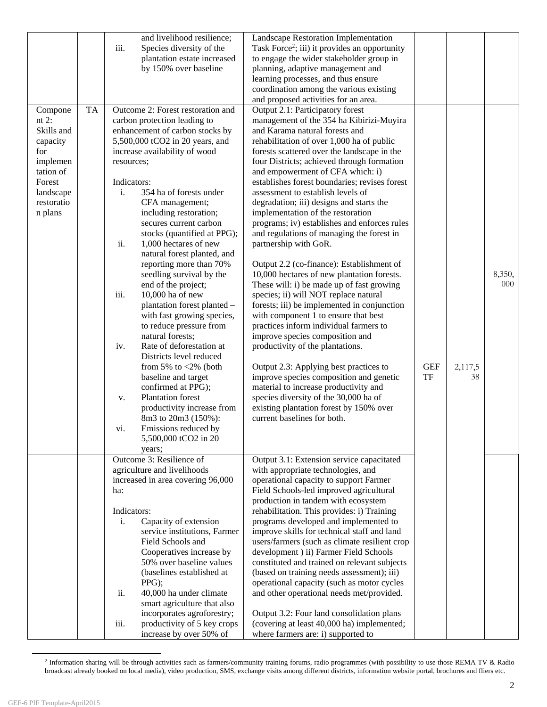|                       |           | and livelihood resilience;             | Landscape Restoration Implementation                      |            |         |        |
|-----------------------|-----------|----------------------------------------|-----------------------------------------------------------|------------|---------|--------|
|                       |           | Species diversity of the<br>iii.       | Task Force <sup>2</sup> ; iii) it provides an opportunity |            |         |        |
|                       |           | plantation estate increased            | to engage the wider stakeholder group in                  |            |         |        |
|                       |           | by 150% over baseline                  | planning, adaptive management and                         |            |         |        |
|                       |           |                                        | learning processes, and thus ensure                       |            |         |        |
|                       |           |                                        | coordination among the various existing                   |            |         |        |
|                       |           |                                        | and proposed activities for an area.                      |            |         |        |
| Compone               | <b>TA</b> | Outcome 2: Forest restoration and      | Output 2.1: Participatory forest                          |            |         |        |
| nt $2$ :              |           | carbon protection leading to           | management of the 354 ha Kibirizi-Muyira                  |            |         |        |
| Skills and            |           | enhancement of carbon stocks by        | and Karama natural forests and                            |            |         |        |
| capacity              |           | 5,500,000 tCO2 in 20 years, and        | rehabilitation of over 1,000 ha of public                 |            |         |        |
| for                   |           | increase availability of wood          | forests scattered over the landscape in the               |            |         |        |
|                       |           |                                        | four Districts; achieved through formation                |            |         |        |
| implemen<br>tation of |           | resources;                             |                                                           |            |         |        |
|                       |           |                                        | and empowerment of CFA which: i)                          |            |         |        |
| Forest                |           | Indicators:                            | establishes forest boundaries; revises forest             |            |         |        |
| landscape             |           | i.<br>354 ha of forests under          | assessment to establish levels of                         |            |         |        |
| restoratio            |           | CFA management;                        | degradation; iii) designs and starts the                  |            |         |        |
| n plans               |           | including restoration;                 | implementation of the restoration                         |            |         |        |
|                       |           | secures current carbon                 | programs; iv) establishes and enforces rules              |            |         |        |
|                       |           | stocks (quantified at PPG);            | and regulations of managing the forest in                 |            |         |        |
|                       |           | ii.<br>1,000 hectares of new           | partnership with GoR.                                     |            |         |        |
|                       |           | natural forest planted, and            |                                                           |            |         |        |
|                       |           | reporting more than 70%                | Output 2.2 (co-finance): Establishment of                 |            |         |        |
|                       |           | seedling survival by the               | 10,000 hectares of new plantation forests.                |            |         | 8,350, |
|                       |           | end of the project;                    | These will: i) be made up of fast growing                 |            |         | 000    |
|                       |           | 10,000 ha of new<br>iii.               | species; ii) will NOT replace natural                     |            |         |        |
|                       |           | plantation forest planted -            | forests; iii) be implemented in conjunction               |            |         |        |
|                       |           | with fast growing species,             | with component 1 to ensure that best                      |            |         |        |
|                       |           | to reduce pressure from                | practices inform individual farmers to                    |            |         |        |
|                       |           | natural forests;                       | improve species composition and                           |            |         |        |
|                       |           | Rate of deforestation at<br>iv.        | productivity of the plantations.                          |            |         |        |
|                       |           | Districts level reduced                |                                                           |            |         |        |
|                       |           | from 5% to $\langle 2\% \rangle$ (both | Output 2.3: Applying best practices to                    | <b>GEF</b> | 2,117,5 |        |
|                       |           | baseline and target                    | improve species composition and genetic                   | <b>TF</b>  | 38      |        |
|                       |           | confirmed at PPG);                     | material to increase productivity and                     |            |         |        |
|                       |           | <b>Plantation</b> forest<br>V.         | species diversity of the 30,000 ha of                     |            |         |        |
|                       |           | productivity increase from             | existing plantation forest by 150% over                   |            |         |        |
|                       |           | 8m3 to 20m3 (150%):                    | current baselines for both.                               |            |         |        |
|                       |           |                                        |                                                           |            |         |        |
|                       |           | Emissions reduced by<br>vi.            |                                                           |            |         |        |
|                       |           | 5,500,000 tCO2 in 20                   |                                                           |            |         |        |
|                       |           | years;                                 |                                                           |            |         |        |
|                       |           | Outcome 3: Resilience of               | Output 3.1: Extension service capacitated                 |            |         |        |
|                       |           | agriculture and livelihoods            | with appropriate technologies, and                        |            |         |        |
|                       |           | increased in area covering 96,000      | operational capacity to support Farmer                    |            |         |        |
|                       |           | ha:                                    | Field Schools-led improved agricultural                   |            |         |        |
|                       |           |                                        | production in tandem with ecosystem                       |            |         |        |
|                       |           | Indicators:                            | rehabilitation. This provides: i) Training                |            |         |        |
|                       |           | Capacity of extension<br>i.            | programs developed and implemented to                     |            |         |        |
|                       |           | service institutions, Farmer           | improve skills for technical staff and land               |            |         |        |
|                       |           | Field Schools and                      | users/farmers (such as climate resilient crop             |            |         |        |
|                       |           | Cooperatives increase by               | development ) ii) Farmer Field Schools                    |            |         |        |
|                       |           | 50% over baseline values               | constituted and trained on relevant subjects              |            |         |        |
|                       |           | (baselines established at              | (based on training needs assessment); iii)                |            |         |        |
|                       |           | PPG);                                  | operational capacity (such as motor cycles                |            |         |        |
|                       |           | ii.<br>40,000 ha under climate         | and other operational needs met/provided.                 |            |         |        |
|                       |           | smart agriculture that also            |                                                           |            |         |        |
|                       |           | incorporates agroforestry;             | Output 3.2: Four land consolidation plans                 |            |         |        |
|                       |           | productivity of 5 key crops<br>iii.    | (covering at least 40,000 ha) implemented;                |            |         |        |
|                       |           | increase by over 50% of                | where farmers are: i) supported to                        |            |         |        |

 <sup>2</sup> Information sharing will be through activities such as farmers/community training forums, radio programmes (with possibility to use those REMA TV & Radio broadcast already booked on local media), video production, SMS, exchange visits among different districts, information website portal, brochures and fliers etc.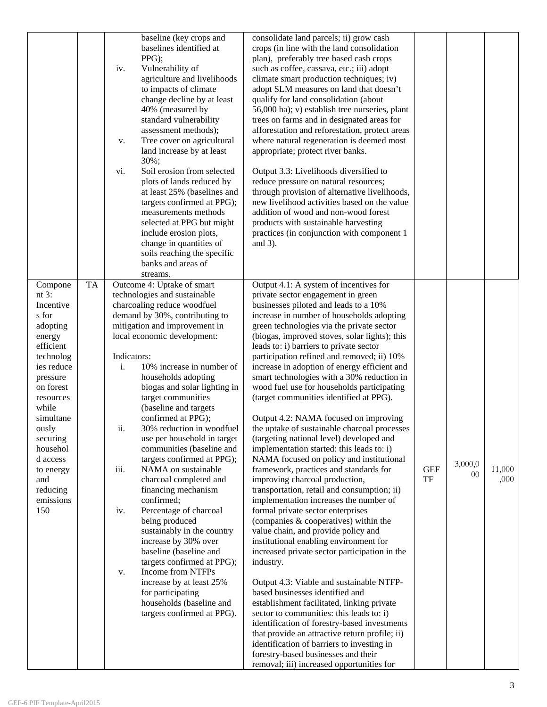|                                                                                                                                                                                                                                                                     | baseline (key crops and<br>baselines identified at<br>PPG);<br>Vulnerability of<br>iv.<br>agriculture and livelihoods<br>to impacts of climate<br>change decline by at least<br>40% (measured by<br>standard vulnerability<br>assessment methods);<br>Tree cover on agricultural<br>v.<br>land increase by at least<br>30%;<br>Soil erosion from selected<br>vi.<br>plots of lands reduced by<br>at least 25% (baselines and<br>targets confirmed at PPG);<br>measurements methods<br>selected at PPG but might<br>include erosion plots,<br>change in quantities of<br>soils reaching the specific<br>banks and areas of<br>streams.                                                                                                                                                                                                                                                                                     | consolidate land parcels; ii) grow cash<br>crops (in line with the land consolidation<br>plan), preferably tree based cash crops<br>such as coffee, cassava, etc.; iii) adopt<br>climate smart production techniques; iv)<br>adopt SLM measures on land that doesn't<br>qualify for land consolidation (about<br>56,000 ha); v) establish tree nurseries, plant<br>trees on farms and in designated areas for<br>afforestation and reforestation, protect areas<br>where natural regeneration is deemed most<br>appropriate; protect river banks.<br>Output 3.3: Livelihoods diversified to<br>reduce pressure on natural resources;<br>through provision of alternative livelihoods,<br>new livelihood activities based on the value<br>addition of wood and non-wood forest<br>products with sustainable harvesting<br>practices (in conjunction with component 1<br>and $3$ ).                                                                                                                                                                                                                                                                                                                                                                                                                                                                                                                                                                                                                                                                                                             |                  |               |                |
|---------------------------------------------------------------------------------------------------------------------------------------------------------------------------------------------------------------------------------------------------------------------|---------------------------------------------------------------------------------------------------------------------------------------------------------------------------------------------------------------------------------------------------------------------------------------------------------------------------------------------------------------------------------------------------------------------------------------------------------------------------------------------------------------------------------------------------------------------------------------------------------------------------------------------------------------------------------------------------------------------------------------------------------------------------------------------------------------------------------------------------------------------------------------------------------------------------|-----------------------------------------------------------------------------------------------------------------------------------------------------------------------------------------------------------------------------------------------------------------------------------------------------------------------------------------------------------------------------------------------------------------------------------------------------------------------------------------------------------------------------------------------------------------------------------------------------------------------------------------------------------------------------------------------------------------------------------------------------------------------------------------------------------------------------------------------------------------------------------------------------------------------------------------------------------------------------------------------------------------------------------------------------------------------------------------------------------------------------------------------------------------------------------------------------------------------------------------------------------------------------------------------------------------------------------------------------------------------------------------------------------------------------------------------------------------------------------------------------------------------------------------------------------------------------------------------|------------------|---------------|----------------|
| Compone<br>nt $3:$<br>Incentive<br>s for<br>adopting<br>energy<br>efficient<br>technolog<br>ies reduce<br>pressure<br>on forest<br>resources<br>while<br>simultane<br>ously<br>securing<br>househol<br>d access<br>to energy<br>and<br>reducing<br>emissions<br>150 | <b>TA</b><br>Outcome 4: Uptake of smart<br>technologies and sustainable<br>charcoaling reduce woodfuel<br>demand by 30%, contributing to<br>mitigation and improvement in<br>local economic development:<br>Indicators:<br>10% increase in number of<br>i.<br>households adopting<br>biogas and solar lighting in<br>target communities<br>(baseline and targets<br>confirmed at PPG);<br>ii.<br>30% reduction in woodfuel<br>use per household in target<br>communities (baseline and<br>targets confirmed at PPG);<br>NAMA on sustainable<br>iii.<br>charcoal completed and<br>financing mechanism<br>confirmed;<br>Percentage of charcoal<br>iv.<br>being produced<br>sustainably in the country<br>increase by 30% over<br>baseline (baseline and<br>targets confirmed at PPG);<br>Income from NTFPs<br>V.<br>increase by at least 25%<br>for participating<br>households (baseline and<br>targets confirmed at PPG). | Output 4.1: A system of incentives for<br>private sector engagement in green<br>businesses piloted and leads to a 10%<br>increase in number of households adopting<br>green technologies via the private sector<br>(biogas, improved stoves, solar lights); this<br>leads to: i) barriers to private sector<br>participation refined and removed; ii) 10%<br>increase in adoption of energy efficient and<br>smart technologies with a 30% reduction in<br>wood fuel use for households participating<br>(target communities identified at PPG).<br>Output 4.2: NAMA focused on improving<br>the uptake of sustainable charcoal processes<br>(targeting national level) developed and<br>implementation started: this leads to: i)<br>NAMA focused on policy and institutional<br>framework, practices and standards for<br>improving charcoal production,<br>transportation, retail and consumption; ii)<br>implementation increases the number of<br>formal private sector enterprises<br>(companies & cooperatives) within the<br>value chain, and provide policy and<br>institutional enabling environment for<br>increased private sector participation in the<br>industry.<br>Output 4.3: Viable and sustainable NTFP-<br>based businesses identified and<br>establishment facilitated, linking private<br>sector to communities: this leads to: i)<br>identification of forestry-based investments<br>that provide an attractive return profile; ii)<br>identification of barriers to investing in<br>forestry-based businesses and their<br>removal; iii) increased opportunities for | <b>GEF</b><br>TF | 3,000,0<br>00 | 11,000<br>,000 |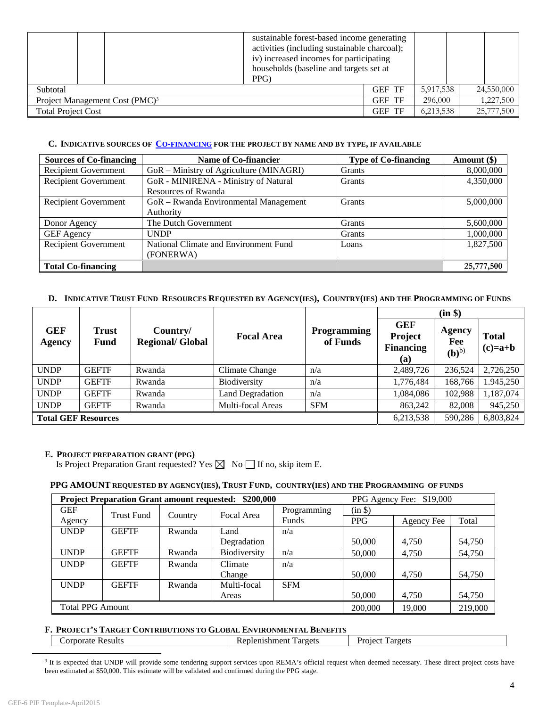|                           | sustainable forest-based income generating<br>activities (including sustainable charcoal);<br>iv) increased incomes for participating<br>households (baseline and targets set at<br>PPG) |               |           |            |
|---------------------------|------------------------------------------------------------------------------------------------------------------------------------------------------------------------------------------|---------------|-----------|------------|
| Subtotal                  |                                                                                                                                                                                          | <b>GEF TF</b> | 5,917,538 | 24,550,000 |
|                           | Project Management Cost (PMC) <sup>3</sup>                                                                                                                                               | <b>GEF TF</b> | 296,000   | 1,227,500  |
| <b>Total Project Cost</b> |                                                                                                                                                                                          | <b>GEF TF</b> | 6,213,538 | 25,777,500 |

#### **C. INDICATIVE SOURCES OF CO-FINANCING FOR THE PROJECT BY NAME AND BY TYPE, IF AVAILABLE**

| <b>Sources of Co-financing</b> | Name of Co-financier                    | <b>Type of Co-financing</b> | Amount (\$) |
|--------------------------------|-----------------------------------------|-----------------------------|-------------|
| Recipient Government           | GoR – Ministry of Agriculture (MINAGRI) | Grants                      | 8,000,000   |
| <b>Recipient Government</b>    | GoR - MINIRENA - Ministry of Natural    | Grants                      | 4,350,000   |
|                                | <b>Resources of Rwanda</b>              |                             |             |
| <b>Recipient Government</b>    | GoR - Rwanda Environmental Management   | Grants                      | 5,000,000   |
|                                | Authority                               |                             |             |
| Donor Agency                   | The Dutch Government                    | Grants                      | 5,600,000   |
| <b>GEF</b> Agency              | <b>UNDP</b>                             | Grants                      | 1,000,000   |
| Recipient Government           | National Climate and Environment Fund   | Loans                       | 1,827,500   |
|                                | (FONERWA)                               |                             |             |
| <b>Total Co-financing</b>      |                                         |                             | 25,777,500  |

#### **D. INDICATIVE TRUST FUND RESOURCES REQUESTED BY AGENCY(IES), COUNTRY(IES) AND THE PROGRAMMING OF FUNDS**

|                            |               |                                     |                         |                                |                                                  | (in \$)                              |                           |
|----------------------------|---------------|-------------------------------------|-------------------------|--------------------------------|--------------------------------------------------|--------------------------------------|---------------------------|
| <b>GEF</b><br>Agency       | Trust<br>Fund | Country/<br><b>Regional/ Global</b> | <b>Focal Area</b>       | <b>Programming</b><br>of Funds | <b>GEF</b><br>Project<br><b>Financing</b><br>(a) | Agency<br>Fee<br>$(b)$ <sup>b)</sup> | <b>Total</b><br>$(c)=a+b$ |
| <b>UNDP</b>                | <b>GEFTF</b>  | Rwanda                              | Climate Change          | n/a                            | 2,489,726                                        | 236,524                              | 2,726,250                 |
| <b>UNDP</b>                | <b>GEFTF</b>  | Rwanda                              | Biodiversity            | n/a                            | 1,776,484                                        | 168,766                              | 1.945,250                 |
| <b>UNDP</b>                | <b>GEFTF</b>  | Rwanda                              | <b>Land Degradation</b> | n/a                            | 1,084,086                                        | 102,988                              | 1,187,074                 |
| <b>UNDP</b>                | <b>GEFTF</b>  | Rwanda                              | Multi-focal Areas       | <b>SFM</b>                     | 863,242                                          | 82,008                               | 945,250                   |
| <b>Total GEF Resources</b> |               |                                     |                         |                                | 6,213,538                                        | 590,286                              | 6,803,824                 |

#### **E. PROJECT PREPARATION GRANT (PPG)**

Is Project Preparation Grant requested? Yes  $\boxtimes$  No  $\Box$  If no, skip item E.

#### **PPG AMOUNT REQUESTED BY AGENCY(IES), TRUST FUND, COUNTRY(IES) AND THE PROGRAMMING OF FUNDS**

| \$200,000<br><b>Project Preparation Grant amount requested:</b> |                   |         |              |             | PPG Agency Fee: \$19,000 |            |         |
|-----------------------------------------------------------------|-------------------|---------|--------------|-------------|--------------------------|------------|---------|
| <b>GEF</b>                                                      | <b>Trust Fund</b> |         | Focal Area   | Programming | (in \$)                  |            |         |
| Agency                                                          |                   | Country |              | Funds       | <b>PPG</b>               | Agency Fee | Total   |
| <b>UNDP</b>                                                     | <b>GEFTF</b>      | Rwanda  | Land         | n/a         |                          |            |         |
|                                                                 |                   |         | Degradation  |             | 50,000                   | 4.750      | 54,750  |
| <b>UNDP</b>                                                     | <b>GEFTF</b>      | Rwanda  | Biodiversity | n/a         | 50,000                   | 4,750      | 54,750  |
| <b>UNDP</b>                                                     | <b>GEFTF</b>      | Rwanda  | Climate      | n/a         |                          |            |         |
|                                                                 |                   |         | Change       |             | 50,000                   | 4.750      | 54,750  |
| <b>UNDP</b>                                                     | <b>GEFTF</b>      | Rwanda  | Multi-focal  | <b>SFM</b>  |                          |            |         |
|                                                                 |                   |         | Areas        |             | 50,000                   | 4,750      | 54,750  |
| <b>Total PPG Amount</b>                                         |                   |         |              |             | 200,000                  | 19.000     | 219,000 |

**F. PROJECT'S TARGET CONTRIBUTIONS TO GLOBAL ENVIRONMENTAL BENEFITS**<br>
Corporate Results **Replenishment Targets** Replenishment Targets Project Targets

<sup>3</sup> It is expected that UNDP will provide some tendering support services upon REMA's official request when deemed necessary. These direct project costs have been estimated at \$50,000. This estimate will be validated and confirmed during the PPG stage.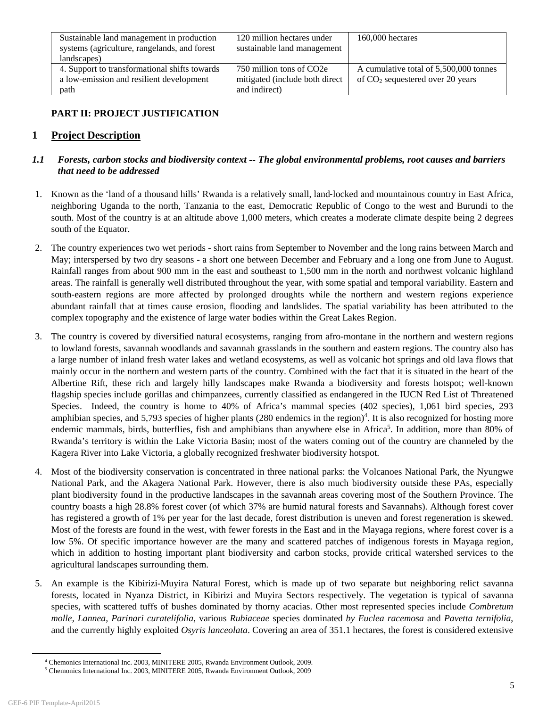| Sustainable land management in production<br>systems (agriculture, rangelands, and forest | 120 million hectares under<br>sustainable land management | $160,000$ hectares                     |
|-------------------------------------------------------------------------------------------|-----------------------------------------------------------|----------------------------------------|
| landscapes)                                                                               |                                                           |                                        |
| 4. Support to transformational shifts towards                                             | 750 million tons of CO2e                                  | A cumulative total of 5,500,000 tonnes |
| a low-emission and resilient development                                                  | mitigated (include both direct                            | of $CO2$ sequestered over 20 years     |
| path                                                                                      | and indirect)                                             |                                        |

# **PART II: PROJECT JUSTIFICATION**

# **1 Project Description**

# *1.1 Forests, carbon stocks and biodiversity context -- The global environmental problems, root causes and barriers that need to be addressed*

- 1. Known as the 'land of a thousand hills' Rwanda is a relatively small, land‐locked and mountainous country in East Africa, neighboring Uganda to the north, Tanzania to the east, Democratic Republic of Congo to the west and Burundi to the south. Most of the country is at an altitude above 1,000 meters, which creates a moderate climate despite being 2 degrees south of the Equator.
- 2. The country experiences two wet periods short rains from September to November and the long rains between March and May; interspersed by two dry seasons - a short one between December and February and a long one from June to August. Rainfall ranges from about 900 mm in the east and southeast to 1,500 mm in the north and northwest volcanic highland areas. The rainfall is generally well distributed throughout the year, with some spatial and temporal variability. Eastern and south-eastern regions are more affected by prolonged droughts while the northern and western regions experience abundant rainfall that at times cause erosion, flooding and landslides. The spatial variability has been attributed to the complex topography and the existence of large water bodies within the Great Lakes Region.
- 3. The country is covered by diversified natural ecosystems, ranging from afro-montane in the northern and western regions to lowland forests, savannah woodlands and savannah grasslands in the southern and eastern regions. The country also has a large number of inland fresh water lakes and wetland ecosystems, as well as volcanic hot springs and old lava flows that mainly occur in the northern and western parts of the country. Combined with the fact that it is situated in the heart of the Albertine Rift, these rich and largely hilly landscapes make Rwanda a biodiversity and forests hotspot; well-known flagship species include gorillas and chimpanzees, currently classified as endangered in the IUCN Red List of Threatened Species. Indeed, the country is home to 40% of Africa's mammal species (402 species), 1,061 bird species, 293 amphibian species, and 5,793 species of higher plants  $(280$  endemics in the region)<sup>4</sup>. It is also recognized for hosting more endemic mammals, birds, butterflies, fish and amphibians than anywhere else in Africa<sup>5</sup>. In addition, more than 80% of Rwanda's territory is within the Lake Victoria Basin; most of the waters coming out of the country are channeled by the Kagera River into Lake Victoria, a globally recognized freshwater biodiversity hotspot.
- 4. Most of the biodiversity conservation is concentrated in three national parks: the Volcanoes National Park, the Nyungwe National Park, and the Akagera National Park. However, there is also much biodiversity outside these PAs, especially plant biodiversity found in the productive landscapes in the savannah areas covering most of the Southern Province. The country boasts a high 28.8% forest cover (of which 37% are humid natural forests and Savannahs). Although forest cover has registered a growth of 1% per year for the last decade, forest distribution is uneven and forest regeneration is skewed. Most of the forests are found in the west, with fewer forests in the East and in the Mayaga regions, where forest cover is a low 5%. Of specific importance however are the many and scattered patches of indigenous forests in Mayaga region, which in addition to hosting important plant biodiversity and carbon stocks, provide critical watershed services to the agricultural landscapes surrounding them.
- 5. An example is the Kibirizi-Muyira Natural Forest, which is made up of two separate but neighboring relict savanna forests, located in Nyanza District, in Kibirizi and Muyira Sectors respectively. The vegetation is typical of savanna species, with scattered tuffs of bushes dominated by thorny acacias. Other most represented species include *Combretum molle, Lannea, Parinari curatelifolia,* various *Rubiaceae* species dominated *by Euclea racemosa* and *Pavetta ternifolia*, and the currently highly exploited *Osyris lanceolata*. Covering an area of 351.1 hectares, the forest is considered extensive

 $\overline{a}$ <sup>4</sup> Chemonics International Inc. 2003, MINITERE 2005, Rwanda Environment Outlook, 2009.

Chemonics International Inc. 2003, MINITERE 2005, Rwanda Environment Outlook, 2009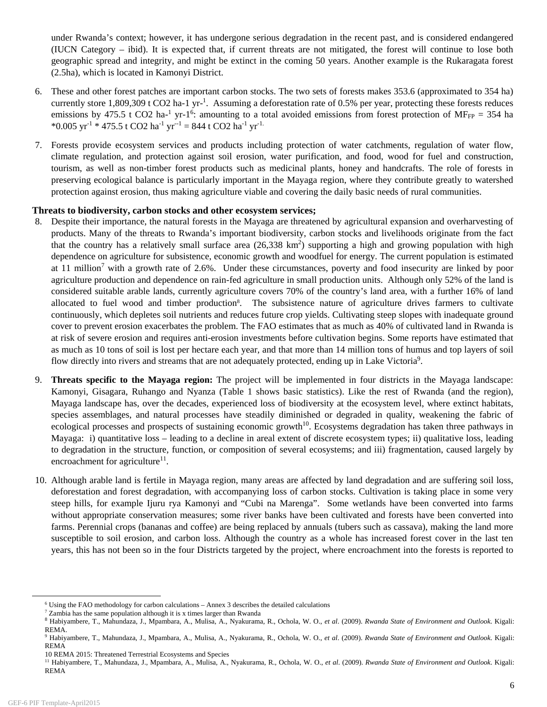under Rwanda's context; however, it has undergone serious degradation in the recent past, and is considered endangered (IUCN Category – ibid). It is expected that, if current threats are not mitigated, the forest will continue to lose both geographic spread and integrity, and might be extinct in the coming 50 years. Another example is the Rukaragata forest (2.5ha)*,* which is located in Kamonyi District.

- 6. These and other forest patches are important carbon stocks. The two sets of forests makes 353.6 (approximated to 354 ha) currently store  $1,809,309$  t CO2 ha-1 yr-<sup>1</sup>. Assuming a deforestation rate of 0.5% per year, protecting these forests reduces emissions by 475.5 t CO2 ha<sup>-1</sup> yr-1<sup>6</sup>: amounting to a total avoided emissions from forest protection of MF<sub>FP</sub> = 354 ha \*0.005 yr<sup>-1</sup> \* 475.5 t CO2 ha<sup>-1</sup> yr<sup>--1</sup> = 844 t CO2 ha<sup>-1</sup> yr<sup>-1.</sup>
- 7. Forests provide ecosystem services and products including protection of water catchments, regulation of water flow, climate regulation, and protection against soil erosion, water purification, and food, wood for fuel and construction, tourism, as well as non-timber forest products such as medicinal plants, honey and handcrafts. The role of forests in preserving ecological balance is particularly important in the Mayaga region, where they contribute greatly to watershed protection against erosion, thus making agriculture viable and covering the daily basic needs of rural communities.

### **Threats to biodiversity, carbon stocks and other ecosystem services;**

- 8. Despite their importance, the natural forests in the Mayaga are threatened by agricultural expansion and overharvesting of products. Many of the threats to Rwanda's important biodiversity, carbon stocks and livelihoods originate from the fact that the country has a relatively small surface area  $(26,338 \text{ km}^2)$  supporting a high and growing population with high dependence on agriculture for subsistence, economic growth and woodfuel for energy. The current population is estimated at 11 million<sup>7</sup> with a growth rate of 2.6%. Under these circumstances, poverty and food insecurity are linked by poor agriculture production and dependence on rain-fed agriculture in small production units. Although only 52% of the land is considered suitable arable lands, currently agriculture covers 70% of the country's land area, with a further 16% of land allocated to fuel wood and timber production<sup>8</sup>. The subsistence nature of agriculture drives farmers to cultivate continuously, which depletes soil nutrients and reduces future crop yields. Cultivating steep slopes with inadequate ground cover to prevent erosion exacerbates the problem. The FAO estimates that as much as 40% of cultivated land in Rwanda is at risk of severe erosion and requires anti-erosion investments before cultivation begins. Some reports have estimated that as much as 10 tons of soil is lost per hectare each year, and that more than 14 million tons of humus and top layers of soil flow directly into rivers and streams that are not adequately protected, ending up in Lake Victoria<sup>9</sup>.
- 9. **Threats specific to the Mayaga region:** The project will be implemented in four districts in the Mayaga landscape: Kamonyi, Gisagara, Ruhango and Nyanza (Table 1 shows basic statistics). Like the rest of Rwanda (and the region), Mayaga landscape has, over the decades, experienced loss of biodiversity at the ecosystem level, where extinct habitats, species assemblages, and natural processes have steadily diminished or degraded in quality, weakening the fabric of ecological processes and prospects of sustaining economic growth<sup>10</sup>. Ecosystems degradation has taken three pathways in Mayaga: i) quantitative loss – leading to a decline in areal extent of discrete ecosystem types; ii) qualitative loss, leading to degradation in the structure, function, or composition of several ecosystems; and iii) fragmentation, caused largely by encroachment for agriculture<sup>11</sup>.
- 10. Although arable land is fertile in Mayaga region, many areas are affected by land degradation and are suffering soil loss, deforestation and forest degradation, with accompanying loss of carbon stocks. Cultivation is taking place in some very steep hills, for example Ijuru rya Kamonyi and "Cubi na Marenga". Some wetlands have been converted into farms without appropriate conservation measures; some river banks have been cultivated and forests have been converted into farms. Perennial crops (bananas and coffee) are being replaced by annuals (tubers such as cassava), making the land more susceptible to soil erosion, and carbon loss. Although the country as a whole has increased forest cover in the last ten years, this has not been so in the four Districts targeted by the project, where encroachment into the forests is reported to

 $\overline{\phantom{0}}$  $6$  Using the FAO methodology for carbon calculations – Annex 3 describes the detailed calculations

 $7$  Zambia has the same population although it is x times larger than Rwanda

<sup>8</sup> Habiyambere, T., Mahundaza, J., Mpambara, A., Mulisa, A., Nyakurama, R., Ochola, W. O., *et al*. (2009). *Rwanda State of Environment and Outlook*. Kigali: REMA.

<sup>9</sup> Habiyambere, T., Mahundaza, J., Mpambara, A., Mulisa, A., Nyakurama, R., Ochola, W. O., *et al*. (2009). *Rwanda State of Environment and Outlook*. Kigali: REMA

<sup>10</sup> REMA 2015: Threatened Terrestrial Ecosystems and Species

<sup>11</sup> Habiyambere, T., Mahundaza, J., Mpambara, A., Mulisa, A., Nyakurama, R., Ochola, W. O., *et al*. (2009). *Rwanda State of Environment and Outlook*. Kigali: REMA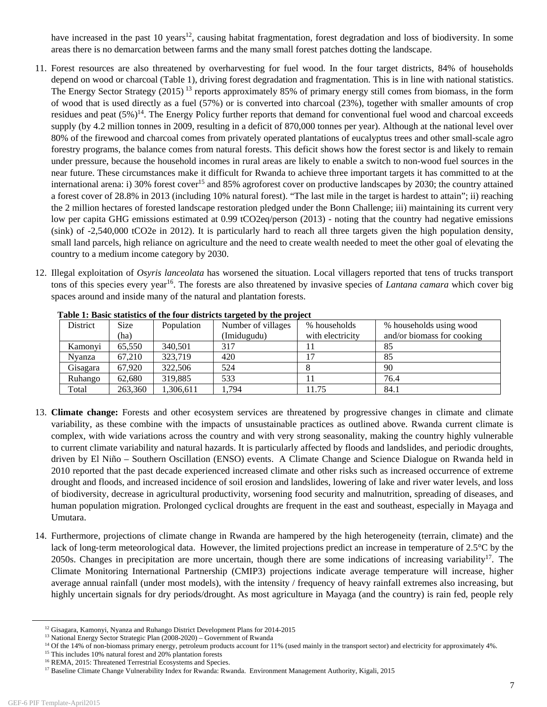have increased in the past 10 years<sup>12</sup>, causing habitat fragmentation, forest degradation and loss of biodiversity. In some areas there is no demarcation between farms and the many small forest patches dotting the landscape.

- 11. Forest resources are also threatened by overharvesting for fuel wood. In the four target districts, 84% of households depend on wood or charcoal (Table 1), driving forest degradation and fragmentation. This is in line with national statistics. The Energy Sector Strategy (2015)<sup>13</sup> reports approximately 85% of primary energy still comes from biomass, in the form of wood that is used directly as a fuel (57%) or is converted into charcoal (23%), together with smaller amounts of crop residues and peat  $(5\%)^{14}$ . The Energy Policy further reports that demand for conventional fuel wood and charcoal exceeds supply (by 4.2 million tonnes in 2009, resulting in a deficit of 870,000 tonnes per year). Although at the national level over 80% of the firewood and charcoal comes from privately operated plantations of eucalyptus trees and other small-scale agro forestry programs, the balance comes from natural forests. This deficit shows how the forest sector is and likely to remain under pressure, because the household incomes in rural areas are likely to enable a switch to non-wood fuel sources in the near future. These circumstances make it difficult for Rwanda to achieve three important targets it has committed to at the international arena: i) 30% forest cover<sup>15</sup> and 85% agroforest cover on productive landscapes by 2030; the country attained a forest cover of 28.8% in 2013 (including 10% natural forest). "The last mile in the target is hardest to attain"; ii) reaching the 2 million hectares of forested landscape restoration pledged under the Bonn Challenge; iii) maintaining its current very low per capita GHG emissions estimated at 0.99 tCO2eq/person (2013) - noting that the country had negative emissions (sink) of -2,540,000 tCO2e in 2012). It is particularly hard to reach all three targets given the high population density, small land parcels, high reliance on agriculture and the need to create wealth needed to meet the other goal of elevating the country to a medium income category by 2030.
- 12. Illegal exploitation of *Osyris lanceolata* has worsened the situation. Local villagers reported that tens of trucks transport tons of this species every year16. The forests are also threatened by invasive species of *Lantana camara* which cover big spaces around and inside many of the natural and plantation forests.

| Table 1. Dasie statistics of the four ulstricts targeted by the project |             |            |                    |                  |                            |  |  |
|-------------------------------------------------------------------------|-------------|------------|--------------------|------------------|----------------------------|--|--|
| District                                                                | <b>Size</b> | Population | Number of villages | % households     | % households using wood    |  |  |
|                                                                         | (ha)        |            | (Imidugudu)        | with electricity | and/or biomass for cooking |  |  |
| Kamonyi                                                                 | 65,550      | 340,501    | 317                |                  | 85                         |  |  |
| Nyanza                                                                  | 67,210      | 323.719    | 420                |                  | 85                         |  |  |
| Gisagara                                                                | 67.920      | 322,506    | 524                |                  | 90                         |  |  |
| Ruhango                                                                 | 62.680      | 319,885    | 533                |                  | 76.4                       |  |  |
| Total                                                                   | 263,360     | 1,306,611  | 1.794              | 11.75            | 84.1                       |  |  |

**Table 1: Basic statistics of the four districts targeted by the project** 

- 13. **Climate change:** Forests and other ecosystem services are threatened by progressive changes in climate and climate variability, as these combine with the impacts of unsustainable practices as outlined above. Rwanda current climate is complex, with wide variations across the country and with very strong seasonality, making the country highly vulnerable to current climate variability and natural hazards. It is particularly affected by floods and landslides, and periodic droughts, driven by El Niño – Southern Oscillation (ENSO) events. A Climate Change and Science Dialogue on Rwanda held in 2010 reported that the past decade experienced increased climate and other risks such as increased occurrence of extreme drought and floods, and increased incidence of soil erosion and landslides, lowering of lake and river water levels, and loss of biodiversity, decrease in agricultural productivity, worsening food security and malnutrition, spreading of diseases, and human population migration. Prolonged cyclical droughts are frequent in the east and southeast, especially in Mayaga and Umutara.
- 14. Furthermore, projections of climate change in Rwanda are hampered by the high heterogeneity (terrain, climate) and the lack of long-term meteorological data. However, the limited projections predict an increase in temperature of 2.5<sup>°</sup>C by the 2050s. Changes in precipitation are more uncertain, though there are some indications of increasing variability<sup>17</sup>. The Climate Monitoring International Partnership (CMIP3) projections indicate average temperature will increase, higher average annual rainfall (under most models), with the intensity / frequency of heavy rainfall extremes also increasing, but highly uncertain signals for dry periods/drought. As most agriculture in Mayaga (and the country) is rain fed, people rely

<sup>&</sup>lt;sup>12</sup> Gisagara, Kamonyi, Nyanza and Ruhango District Development Plans for 2014-2015<br><sup>13</sup> National Energy Sector Strategic Plan (2008-2020) – Government of Rwanda<br><sup>14</sup> Of the 14% of non-biomass primary energy, petroleum pr

<sup>&</sup>lt;sup>16</sup> REMA, 2015: Threatened Terrestrial Ecosystems and Species.

<sup>17</sup> Baseline Climate Change Vulnerability Index for Rwanda: Rwanda. Environment Management Authority, Kigali, 2015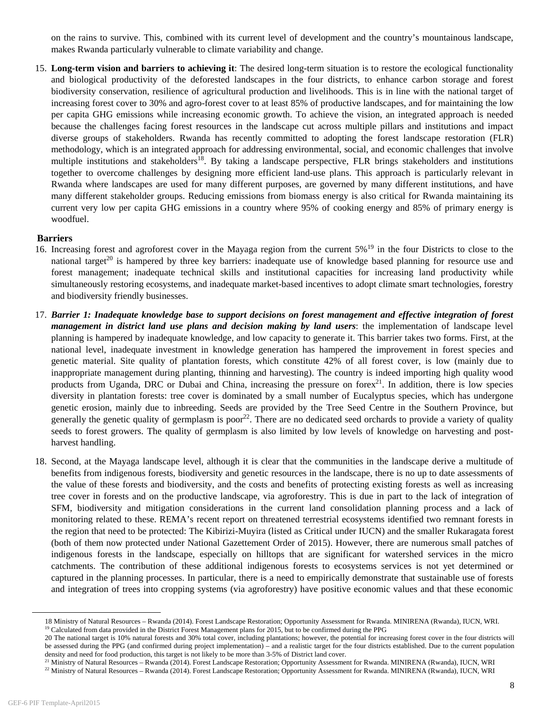on the rains to survive. This, combined with its current level of development and the country's mountainous landscape, makes Rwanda particularly vulnerable to climate variability and change.

15. **Long-term vision and barriers to achieving it**: The desired long-term situation is to restore the ecological functionality and biological productivity of the deforested landscapes in the four districts, to enhance carbon storage and forest biodiversity conservation, resilience of agricultural production and livelihoods. This is in line with the national target of increasing forest cover to 30% and agro-forest cover to at least 85% of productive landscapes, and for maintaining the low per capita GHG emissions while increasing economic growth. To achieve the vision, an integrated approach is needed because the challenges facing forest resources in the landscape cut across multiple pillars and institutions and impact diverse groups of stakeholders. Rwanda has recently committed to adopting the forest landscape restoration (FLR) methodology, which is an integrated approach for addressing environmental, social, and economic challenges that involve multiple institutions and stakeholders<sup>18</sup>. By taking a landscape perspective, FLR brings stakeholders and institutions together to overcome challenges by designing more efficient land-use plans. This approach is particularly relevant in Rwanda where landscapes are used for many different purposes, are governed by many different institutions, and have many different stakeholder groups. Reducing emissions from biomass energy is also critical for Rwanda maintaining its current very low per capita GHG emissions in a country where 95% of cooking energy and 85% of primary energy is woodfuel.

#### **Barriers**

- 16. Increasing forest and agroforest cover in the Mayaga region from the current 5%<sup>19</sup> in the four Districts to close to the national target<sup>20</sup> is hampered by three key barriers: inadequate use of knowledge based planning for resource use and forest management; inadequate technical skills and institutional capacities for increasing land productivity while simultaneously restoring ecosystems, and inadequate market-based incentives to adopt climate smart technologies, forestry and biodiversity friendly businesses.
- 17. *Barrier 1: Inadequate knowledge base to support decisions on forest management and effective integration of forest management in district land use plans and decision making by land users*: the implementation of landscape level planning is hampered by inadequate knowledge, and low capacity to generate it. This barrier takes two forms. First, at the national level, inadequate investment in knowledge generation has hampered the improvement in forest species and genetic material. Site quality of plantation forests, which constitute 42% of all forest cover, is low (mainly due to inappropriate management during planting, thinning and harvesting). The country is indeed importing high quality wood products from Uganda, DRC or Dubai and China, increasing the pressure on fore $x^{21}$ . In addition, there is low species diversity in plantation forests: tree cover is dominated by a small number of Eucalyptus species, which has undergone genetic erosion, mainly due to inbreeding. Seeds are provided by the Tree Seed Centre in the Southern Province, but generally the genetic quality of germplasm is  $poor<sup>22</sup>$ . There are no dedicated seed orchards to provide a variety of quality seeds to forest growers. The quality of germplasm is also limited by low levels of knowledge on harvesting and postharvest handling.
- 18. Second, at the Mayaga landscape level, although it is clear that the communities in the landscape derive a multitude of benefits from indigenous forests, biodiversity and genetic resources in the landscape, there is no up to date assessments of the value of these forests and biodiversity, and the costs and benefits of protecting existing forests as well as increasing tree cover in forests and on the productive landscape, via agroforestry. This is due in part to the lack of integration of SFM, biodiversity and mitigation considerations in the current land consolidation planning process and a lack of monitoring related to these. REMA's recent report on threatened terrestrial ecosystems identified two remnant forests in the region that need to be protected: The Kibirizi-Muyira (listed as Critical under IUCN) and the smaller Rukaragata forest (both of them now protected under National Gazettement Order of 2015). However, there are numerous small patches of indigenous forests in the landscape, especially on hilltops that are significant for watershed services in the micro catchments. The contribution of these additional indigenous forests to ecosystems services is not yet determined or captured in the planning processes. In particular, there is a need to empirically demonstrate that sustainable use of forests and integration of trees into cropping systems (via agroforestry) have positive economic values and that these economic

<sup>18</sup> Ministry of Natural Resources – Rwanda (2014). Forest Landscape Restoration; Opportunity Assessment for Rwanda. MINIRENA (Rwanda), IUCN, WRI. <sup>19</sup> Calculated from data provided in the District Forest Management plans fo

<sup>20</sup> The national target is 10% natural forests and 30% total cover, including plantations; however, the potential for increasing forest cover in the four districts will be assessed during the PPG (and confirmed during project implementation) – and a realistic target for the four districts established. Due to the current population

density and need for food production, this target is not likely to be more than 3-5% of District land cover.<br><sup>21</sup> Ministry of Natural Resources – Rwanda (2014). Forest Landscape Restoration; Opportunity Assessment for Rwan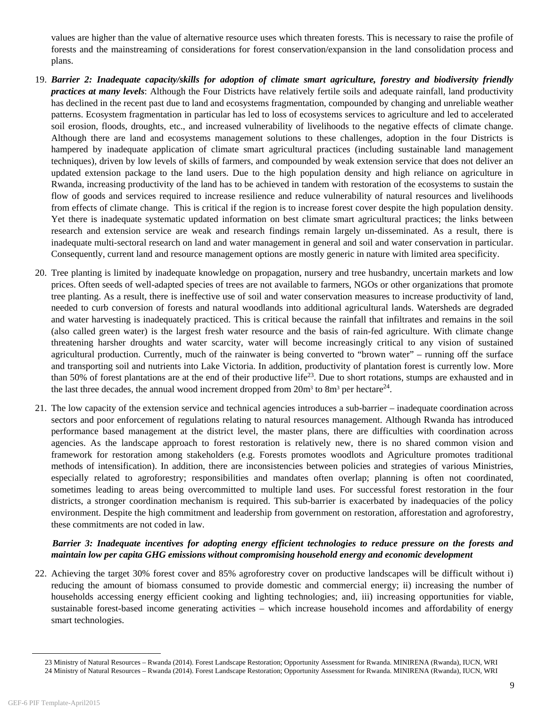values are higher than the value of alternative resource uses which threaten forests. This is necessary to raise the profile of forests and the mainstreaming of considerations for forest conservation/expansion in the land consolidation process and plans.

- 19. *Barrier 2: Inadequate capacity/skills for adoption of climate smart agriculture, forestry and biodiversity friendly practices at many levels*: Although the Four Districts have relatively fertile soils and adequate rainfall, land productivity has declined in the recent past due to land and ecosystems fragmentation, compounded by changing and unreliable weather patterns. Ecosystem fragmentation in particular has led to loss of ecosystems services to agriculture and led to accelerated soil erosion, floods, droughts, etc., and increased vulnerability of livelihoods to the negative effects of climate change. Although there are land and ecosystems management solutions to these challenges, adoption in the four Districts is hampered by inadequate application of climate smart agricultural practices (including sustainable land management techniques), driven by low levels of skills of farmers, and compounded by weak extension service that does not deliver an updated extension package to the land users. Due to the high population density and high reliance on agriculture in Rwanda, increasing productivity of the land has to be achieved in tandem with restoration of the ecosystems to sustain the flow of goods and services required to increase resilience and reduce vulnerability of natural resources and livelihoods from effects of climate change. This is critical if the region is to increase forest cover despite the high population density. Yet there is inadequate systematic updated information on best climate smart agricultural practices; the links between research and extension service are weak and research findings remain largely un-disseminated. As a result, there is inadequate multi-sectoral research on land and water management in general and soil and water conservation in particular. Consequently, current land and resource management options are mostly generic in nature with limited area specificity.
- 20. Tree planting is limited by inadequate knowledge on propagation, nursery and tree husbandry, uncertain markets and low prices. Often seeds of well-adapted species of trees are not available to farmers, NGOs or other organizations that promote tree planting. As a result, there is ineffective use of soil and water conservation measures to increase productivity of land, needed to curb conversion of forests and natural woodlands into additional agricultural lands. Watersheds are degraded and water harvesting is inadequately practiced. This is critical because the rainfall that infiltrates and remains in the soil (also called green water) is the largest fresh water resource and the basis of rain-fed agriculture. With climate change threatening harsher droughts and water scarcity, water will become increasingly critical to any vision of sustained agricultural production. Currently, much of the rainwater is being converted to "brown water" – running off the surface and transporting soil and nutrients into Lake Victoria. In addition, productivity of plantation forest is currently low. More than 50% of forest plantations are at the end of their productive life<sup>23</sup>. Due to short rotations, stumps are exhausted and in the last three decades, the annual wood increment dropped from  $20m^3$  to  $8m^3$  per hectare<sup>24</sup>.
- 21. The low capacity of the extension service and technical agencies introduces a sub-barrier inadequate coordination across sectors and poor enforcement of regulations relating to natural resources management. Although Rwanda has introduced performance based management at the district level, the master plans, there are difficulties with coordination across agencies. As the landscape approach to forest restoration is relatively new, there is no shared common vision and framework for restoration among stakeholders (e.g. Forests promotes woodlots and Agriculture promotes traditional methods of intensification). In addition, there are inconsistencies between policies and strategies of various Ministries, especially related to agroforestry; responsibilities and mandates often overlap; planning is often not coordinated, sometimes leading to areas being overcommitted to multiple land uses. For successful forest restoration in the four districts, a stronger coordination mechanism is required. This sub-barrier is exacerbated by inadequacies of the policy environment. Despite the high commitment and leadership from government on restoration, afforestation and agroforestry, these commitments are not coded in law.

## *Barrier 3: Inadequate incentives for adopting energy efficient technologies to reduce pressure on the forests and maintain low per capita GHG emissions without compromising household energy and economic development*

22. Achieving the target 30% forest cover and 85% agroforestry cover on productive landscapes will be difficult without i) reducing the amount of biomass consumed to provide domestic and commercial energy; ii) increasing the number of households accessing energy efficient cooking and lighting technologies; and, iii) increasing opportunities for viable, sustainable forest-based income generating activities – which increase household incomes and affordability of energy smart technologies.

 <sup>23</sup> Ministry of Natural Resources – Rwanda (2014). Forest Landscape Restoration; Opportunity Assessment for Rwanda. MINIRENA (Rwanda), IUCN, WRI

<sup>24</sup> Ministry of Natural Resources – Rwanda (2014). Forest Landscape Restoration; Opportunity Assessment for Rwanda. MINIRENA (Rwanda), IUCN, WRI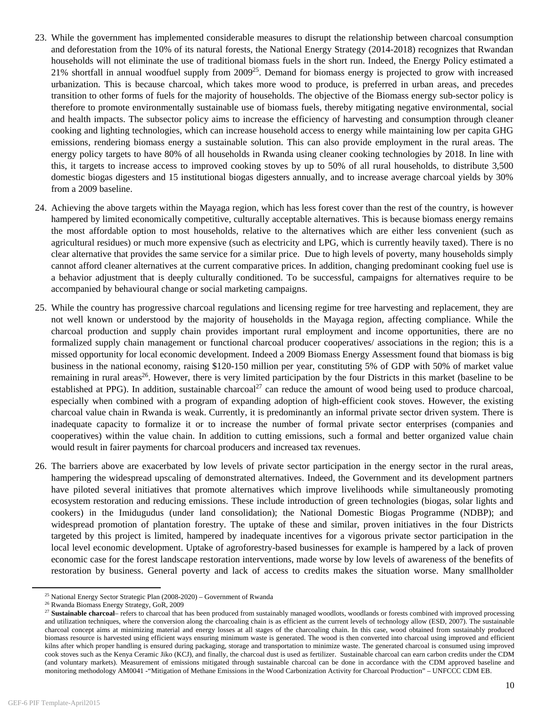- 23. While the government has implemented considerable measures to disrupt the relationship between charcoal consumption and deforestation from the 10% of its natural forests, the National Energy Strategy (2014-2018) recognizes that Rwandan households will not eliminate the use of traditional biomass fuels in the short run. Indeed, the Energy Policy estimated a 21% shortfall in annual woodfuel supply from  $2009^{25}$ . Demand for biomass energy is projected to grow with increased urbanization. This is because charcoal, which takes more wood to produce, is preferred in urban areas, and precedes transition to other forms of fuels for the majority of households. The objective of the Biomass energy sub-sector policy is therefore to promote environmentally sustainable use of biomass fuels, thereby mitigating negative environmental, social and health impacts. The subsector policy aims to increase the efficiency of harvesting and consumption through cleaner cooking and lighting technologies, which can increase household access to energy while maintaining low per capita GHG emissions, rendering biomass energy a sustainable solution. This can also provide employment in the rural areas. The energy policy targets to have 80% of all households in Rwanda using cleaner cooking technologies by 2018. In line with this, it targets to increase access to improved cooking stoves by up to 50% of all rural households, to distribute 3,500 domestic biogas digesters and 15 institutional biogas digesters annually, and to increase average charcoal yields by 30% from a 2009 baseline.
- 24. Achieving the above targets within the Mayaga region, which has less forest cover than the rest of the country, is however hampered by limited economically competitive, culturally acceptable alternatives. This is because biomass energy remains the most affordable option to most households, relative to the alternatives which are either less convenient (such as agricultural residues) or much more expensive (such as electricity and LPG, which is currently heavily taxed). There is no clear alternative that provides the same service for a similar price. Due to high levels of poverty, many households simply cannot afford cleaner alternatives at the current comparative prices. In addition, changing predominant cooking fuel use is a behavior adjustment that is deeply culturally conditioned. To be successful, campaigns for alternatives require to be accompanied by behavioural change or social marketing campaigns.
- 25. While the country has progressive charcoal regulations and licensing regime for tree harvesting and replacement, they are not well known or understood by the majority of households in the Mayaga region, affecting compliance. While the charcoal production and supply chain provides important rural employment and income opportunities, there are no formalized supply chain management or functional charcoal producer cooperatives/ associations in the region; this is a missed opportunity for local economic development. Indeed a 2009 Biomass Energy Assessment found that biomass is big business in the national economy, raising \$120-150 million per year, constituting 5% of GDP with 50% of market value remaining in rural areas<sup>26</sup>. However, there is very limited participation by the four Districts in this market (baseline to be established at PPG). In addition, sustainable charcoal<sup>27</sup> can reduce the amount of wood being used to produce charcoal, especially when combined with a program of expanding adoption of high-efficient cook stoves. However, the existing charcoal value chain in Rwanda is weak. Currently, it is predominantly an informal private sector driven system. There is inadequate capacity to formalize it or to increase the number of formal private sector enterprises (companies and cooperatives) within the value chain. In addition to cutting emissions, such a formal and better organized value chain would result in fairer payments for charcoal producers and increased tax revenues.
- 26. The barriers above are exacerbated by low levels of private sector participation in the energy sector in the rural areas, hampering the widespread upscaling of demonstrated alternatives. Indeed, the Government and its development partners have piloted several initiatives that promote alternatives which improve livelihoods while simultaneously promoting ecosystem restoration and reducing emissions. These include introduction of green technologies (biogas, solar lights and cookers) in the Imidugudus (under land consolidation); the National Domestic Biogas Programme (NDBP); and widespread promotion of plantation forestry. The uptake of these and similar, proven initiatives in the four Districts targeted by this project is limited, hampered by inadequate incentives for a vigorous private sector participation in the local level economic development. Uptake of agroforestry-based businesses for example is hampered by a lack of proven economic case for the forest landscape restoration interventions, made worse by low levels of awareness of the benefits of restoration by business. General poverty and lack of access to credits makes the situation worse. Many smallholder

<sup>&</sup>lt;sup>25</sup> National Energy Sector Strategic Plan (2008-2020) – Government of Rwanda  $^{26}$  Rwanda Biomass Energy Strategy, GoR, 2009

<sup>&</sup>lt;sup>27</sup> Sustainable charcoal– refers to charcoal that has been produced from sustainably managed woodlots, woodlands or forests combined with improved processing and utilization techniques, where the conversion along the charcoaling chain is as efficient as the current levels of technology allow (ESD, 2007). The sustainable charcoal concept aims at minimizing material and energy losses at all stages of the charcoaling chain. In this case, wood obtained from sustainably produced biomass resource is harvested using efficient ways ensuring minimum waste is generated. The wood is then converted into charcoal using improved and efficient kilns after which proper handling is ensured during packaging, storage and transportation to minimize waste. The generated charcoal is consumed using improved cook stoves such as the Kenya Ceramic Jiko (KCJ), and finally, the charcoal dust is used as fertilizer. Sustainable charcoal can earn carbon credits under the CDM (and voluntary markets). Measurement of emissions mitigated through sustainable charcoal can be done in accordance with the CDM approved baseline and monitoring methodology AM0041 -"Mitigation of Methane Emissions in the Wood Carbonization Activity for Charcoal Production" – UNFCCC CDM EB.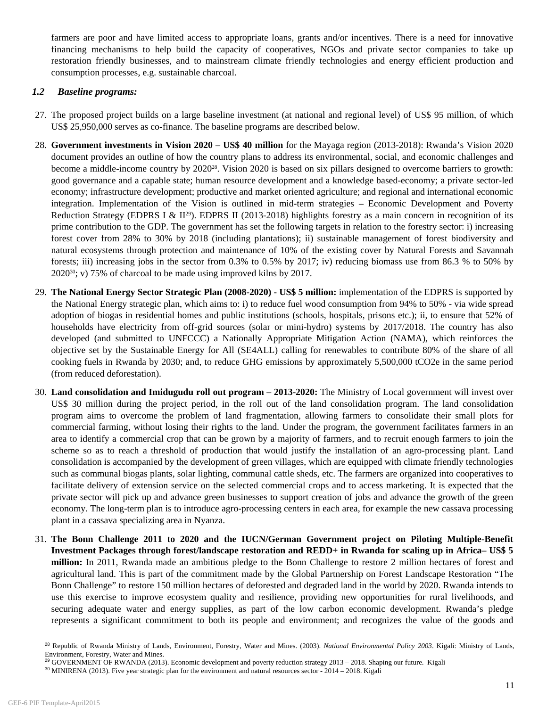farmers are poor and have limited access to appropriate loans, grants and/or incentives. There is a need for innovative financing mechanisms to help build the capacity of cooperatives, NGOs and private sector companies to take up restoration friendly businesses, and to mainstream climate friendly technologies and energy efficient production and consumption processes, e.g. sustainable charcoal.

# *1.2 Baseline programs:*

- 27. The proposed project builds on a large baseline investment (at national and regional level) of US\$ 95 million, of which US\$ 25,950,000 serves as co-finance. The baseline programs are described below.
- 28. **Government investments in Vision 2020 US\$ 40 million** for the Mayaga region (2013-2018): Rwanda's Vision 2020 document provides an outline of how the country plans to address its environmental, social, and economic challenges and become a middle-income country by 2020<sup>28</sup>. Vision 2020 is based on six pillars designed to overcome barriers to growth: good governance and a capable state; human resource development and a knowledge based-economy; a private sector-led economy; infrastructure development; productive and market oriented agriculture; and regional and international economic integration. Implementation of the Vision is outlined in mid-term strategies – Economic Development and Poverty Reduction Strategy (EDPRS I &  $II^{29}$ ). EDPRS II (2013-2018) highlights forestry as a main concern in recognition of its prime contribution to the GDP. The government has set the following targets in relation to the forestry sector: i) increasing forest cover from 28% to 30% by 2018 (including plantations); ii) sustainable management of forest biodiversity and natural ecosystems through protection and maintenance of 10% of the existing cover by Natural Forests and Savannah forests; iii) increasing jobs in the sector from 0.3% to 0.5% by 2017; iv) reducing biomass use from 86.3 % to 50% by 202030; v) 75% of charcoal to be made using improved kilns by 2017.
- 29. **The National Energy Sector Strategic Plan (2008-2020) US\$ 5 million:** implementation of the EDPRS is supported by the National Energy strategic plan, which aims to: i) to reduce fuel wood consumption from 94% to 50% - via wide spread adoption of biogas in residential homes and public institutions (schools, hospitals, prisons etc.); ii, to ensure that 52% of households have electricity from off-grid sources (solar or mini-hydro) systems by 2017/2018. The country has also developed (and submitted to UNFCCC) a Nationally Appropriate Mitigation Action (NAMA), which reinforces the objective set by the Sustainable Energy for All (SE4ALL) calling for renewables to contribute 80% of the share of all cooking fuels in Rwanda by 2030; and, to reduce GHG emissions by approximately 5,500,000 tCO2e in the same period (from reduced deforestation).
- 30. **Land consolidation and Imidugudu roll out program 2013-2020:** The Ministry of Local government will invest over US\$ 30 million during the project period, in the roll out of the land consolidation program. The land consolidation program aims to overcome the problem of land fragmentation, allowing farmers to consolidate their small plots for commercial farming, without losing their rights to the land. Under the program, the government facilitates farmers in an area to identify a commercial crop that can be grown by a majority of farmers, and to recruit enough farmers to join the scheme so as to reach a threshold of production that would justify the installation of an agro-processing plant. Land consolidation is accompanied by the development of green villages, which are equipped with climate friendly technologies such as communal biogas plants, solar lighting, communal cattle sheds, etc. The farmers are organized into cooperatives to facilitate delivery of extension service on the selected commercial crops and to access marketing. It is expected that the private sector will pick up and advance green businesses to support creation of jobs and advance the growth of the green economy. The long-term plan is to introduce agro-processing centers in each area, for example the new cassava processing plant in a cassava specializing area in Nyanza.
- 31. **The Bonn Challenge 2011 to 2020 and the IUCN/German Government project on Piloting Multiple-Benefit Investment Packages through forest/landscape restoration and REDD+ in Rwanda for scaling up in Africa– US\$ 5 million:** In 2011, Rwanda made an ambitious pledge to the Bonn Challenge to restore 2 million hectares of forest and agricultural land. This is part of the commitment made by the Global Partnership on Forest Landscape Restoration "The Bonn Challenge" to restore 150 million hectares of deforested and degraded land in the world by 2020. Rwanda intends to use this exercise to improve ecosystem quality and resilience, providing new opportunities for rural livelihoods, and securing adequate water and energy supplies, as part of the low carbon economic development. Rwanda's pledge represents a significant commitment to both its people and environment; and recognizes the value of the goods and

 $\overline{a}$ 

<sup>28</sup> Republic of Rwanda Ministry of Lands, Environment, Forestry, Water and Mines. (2003). *National Environmental Policy 2003*. Kigali: Ministry of Lands, Environment, Forestry, Water and Mines.

<sup>&</sup>lt;sup>29</sup> GOVERNMENT OF RWANDA (2013). Economic development and poverty reduction strategy 2013 – 2018. Shaping our future. Kigali

<sup>30</sup> MINIRENA (2013). Five year strategic plan for the environment and natural resources sector - 2014 – 2018. Kigali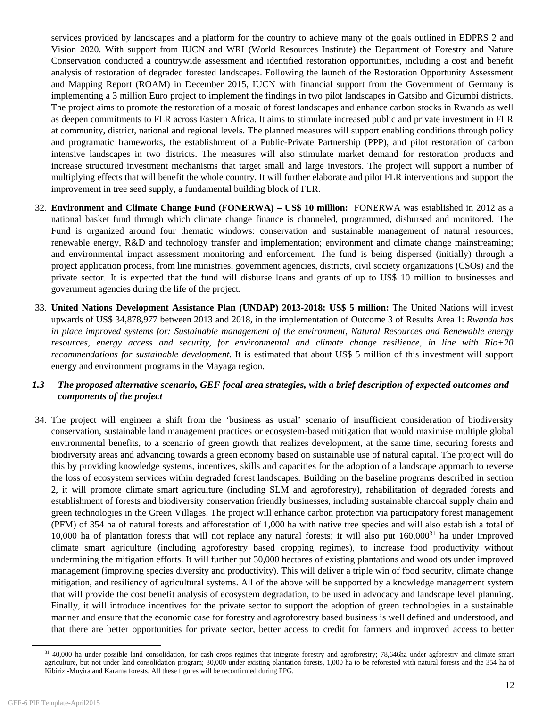services provided by landscapes and a platform for the country to achieve many of the goals outlined in EDPRS 2 and Vision 2020. With support from IUCN and WRI (World Resources Institute) the Department of Forestry and Nature Conservation conducted a countrywide assessment and identified restoration opportunities, including a cost and benefit analysis of restoration of degraded forested landscapes. Following the launch of the Restoration Opportunity Assessment and Mapping Report (ROAM) in December 2015, IUCN with financial support from the Government of Germany is implementing a 3 million Euro project to implement the findings in two pilot landscapes in Gatsibo and Gicumbi districts. The project aims to promote the restoration of a mosaic of forest landscapes and enhance carbon stocks in Rwanda as well as deepen commitments to FLR across Eastern Africa. It aims to stimulate increased public and private investment in FLR at community, district, national and regional levels. The planned measures will support enabling conditions through policy and programatic frameworks, the establishment of a Public-Private Partnership (PPP), and pilot restoration of carbon intensive landscapes in two districts. The measures will also stimulate market demand for restoration products and increase structured investment mechanisms that target small and large investors. The project will support a number of multiplying effects that will benefit the whole country. It will further elaborate and pilot FLR interventions and support the improvement in tree seed supply, a fundamental building block of FLR.

- 32. **Environment and Climate Change Fund (FONERWA) US\$ 10 million:** FONERWA was established in 2012 as a national basket fund through which climate change finance is channeled, programmed, disbursed and monitored. The Fund is organized around four thematic windows: conservation and sustainable management of natural resources; renewable energy, R&D and technology transfer and implementation; environment and climate change mainstreaming; and environmental impact assessment monitoring and enforcement. The fund is being dispersed (initially) through a project application process, from line ministries, government agencies, districts, civil society organizations (CSOs) and the private sector. It is expected that the fund will disburse loans and grants of up to US\$ 10 million to businesses and government agencies during the life of the project.
- 33. **United Nations Development Assistance Plan (UNDAP) 2013-2018: US\$ 5 million:** The United Nations will invest upwards of US\$ 34,878,977 between 2013 and 2018, in the implementation of Outcome 3 of Results Area 1: *Rwanda has in place improved systems for: Sustainable management of the environment, Natural Resources and Renewable energy resources, energy access and security, for environmental and climate change resilience, in line with Rio+20 recommendations for sustainable development.* It is estimated that about US\$ 5 million of this investment will support energy and environment programs in the Mayaga region.

# *1.3 The proposed alternative scenario, GEF focal area strategies, with a brief description of expected outcomes and components of the project*

34. The project will engineer a shift from the 'business as usual' scenario of insufficient consideration of biodiversity conservation, sustainable land management practices or ecosystem-based mitigation that would maximise multiple global environmental benefits, to a scenario of green growth that realizes development, at the same time, securing forests and biodiversity areas and advancing towards a green economy based on sustainable use of natural capital. The project will do this by providing knowledge systems, incentives, skills and capacities for the adoption of a landscape approach to reverse the loss of ecosystem services within degraded forest landscapes. Building on the baseline programs described in section 2, it will promote climate smart agriculture (including SLM and agroforestry), rehabilitation of degraded forests and establishment of forests and biodiversity conservation friendly businesses, including sustainable charcoal supply chain and green technologies in the Green Villages. The project will enhance carbon protection via participatory forest management (PFM) of 354 ha of natural forests and afforestation of 1,000 ha with native tree species and will also establish a total of 10,000 ha of plantation forests that will not replace any natural forests; it will also put  $160,000^{31}$  ha under improved climate smart agriculture (including agroforestry based cropping regimes), to increase food productivity without undermining the mitigation efforts. It will further put 30,000 hectares of existing plantations and woodlots under improved management (improving species diversity and productivity). This will deliver a triple win of food security, climate change mitigation, and resiliency of agricultural systems. All of the above will be supported by a knowledge management system that will provide the cost benefit analysis of ecosystem degradation, to be used in advocacy and landscape level planning. Finally, it will introduce incentives for the private sector to support the adoption of green technologies in a sustainable manner and ensure that the economic case for forestry and agroforestry based business is well defined and understood, and that there are better opportunities for private sector, better access to credit for farmers and improved access to better

<sup>&</sup>lt;sup>31</sup> 40,000 ha under possible land consolidation, for cash crops regimes that integrate forestry and agroforestry; 78,646ha under agforestry and climate smart agriculture, but not under land consolidation program; 30,000 under existing plantation forests, 1,000 ha to be reforested with natural forests and the 354 ha of Kibirizi-Muyira and Karama forests. All these figures will be reconfirmed during PPG.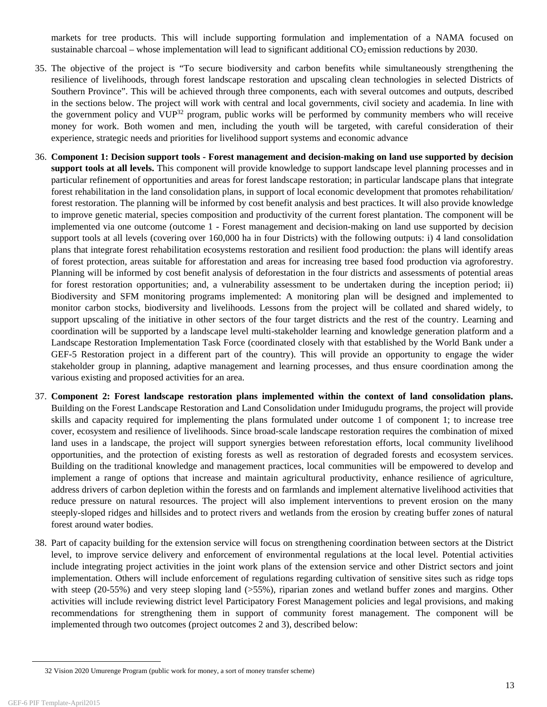markets for tree products. This will include supporting formulation and implementation of a NAMA focused on sustainable charcoal – whose implementation will lead to significant additional  $CO<sub>2</sub>$  emission reductions by 2030.

- 35. The objective of the project is "To secure biodiversity and carbon benefits while simultaneously strengthening the resilience of livelihoods, through forest landscape restoration and upscaling clean technologies in selected Districts of Southern Province". This will be achieved through three components, each with several outcomes and outputs, described in the sections below. The project will work with central and local governments, civil society and academia. In line with the government policy and VUP<sup>32</sup> program, public works will be performed by community members who will receive money for work. Both women and men, including the youth will be targeted, with careful consideration of their experience, strategic needs and priorities for livelihood support systems and economic advance
- 36. **Component 1: Decision support tools Forest management and decision-making on land use supported by decision support tools at all levels.** This component will provide knowledge to support landscape level planning processes and in particular refinement of opportunities and areas for forest landscape restoration; in particular landscape plans that integrate forest rehabilitation in the land consolidation plans, in support of local economic development that promotes rehabilitation/ forest restoration. The planning will be informed by cost benefit analysis and best practices. It will also provide knowledge to improve genetic material, species composition and productivity of the current forest plantation. The component will be implemented via one outcome (outcome 1 - Forest management and decision-making on land use supported by decision support tools at all levels (covering over 160,000 ha in four Districts) with the following outputs: i) 4 land consolidation plans that integrate forest rehabilitation ecosystems restoration and resilient food production: the plans will identify areas of forest protection, areas suitable for afforestation and areas for increasing tree based food production via agroforestry. Planning will be informed by cost benefit analysis of deforestation in the four districts and assessments of potential areas for forest restoration opportunities; and, a vulnerability assessment to be undertaken during the inception period; ii) Biodiversity and SFM monitoring programs implemented: A monitoring plan will be designed and implemented to monitor carbon stocks, biodiversity and livelihoods. Lessons from the project will be collated and shared widely, to support upscaling of the initiative in other sectors of the four target districts and the rest of the country. Learning and coordination will be supported by a landscape level multi-stakeholder learning and knowledge generation platform and a Landscape Restoration Implementation Task Force (coordinated closely with that established by the World Bank under a GEF-5 Restoration project in a different part of the country). This will provide an opportunity to engage the wider stakeholder group in planning, adaptive management and learning processes, and thus ensure coordination among the various existing and proposed activities for an area.
- 37. **Component 2: Forest landscape restoration plans implemented within the context of land consolidation plans.** Building on the Forest Landscape Restoration and Land Consolidation under Imidugudu programs, the project will provide skills and capacity required for implementing the plans formulated under outcome 1 of component 1; to increase tree cover, ecosystem and resilience of livelihoods. Since broad-scale landscape restoration requires the combination of mixed land uses in a landscape, the project will support synergies between reforestation efforts, local community livelihood opportunities, and the protection of existing forests as well as restoration of degraded forests and ecosystem services. Building on the traditional knowledge and management practices, local communities will be empowered to develop and implement a range of options that increase and maintain agricultural productivity, enhance resilience of agriculture, address drivers of carbon depletion within the forests and on farmlands and implement alternative livelihood activities that reduce pressure on natural resources. The project will also implement interventions to prevent erosion on the many steeply-sloped ridges and hillsides and to protect rivers and wetlands from the erosion by creating buffer zones of natural forest around water bodies.
- 38. Part of capacity building for the extension service will focus on strengthening coordination between sectors at the District level, to improve service delivery and enforcement of environmental regulations at the local level. Potential activities include integrating project activities in the joint work plans of the extension service and other District sectors and joint implementation. Others will include enforcement of regulations regarding cultivation of sensitive sites such as ridge tops with steep (20-55%) and very steep sloping land (>55%), riparian zones and wetland buffer zones and margins. Other activities will include reviewing district level Participatory Forest Management policies and legal provisions, and making recommendations for strengthening them in support of community forest management. The component will be implemented through two outcomes (project outcomes 2 and 3), described below:

 <sup>32</sup> Vision 2020 Umurenge Program (public work for money, a sort of money transfer scheme)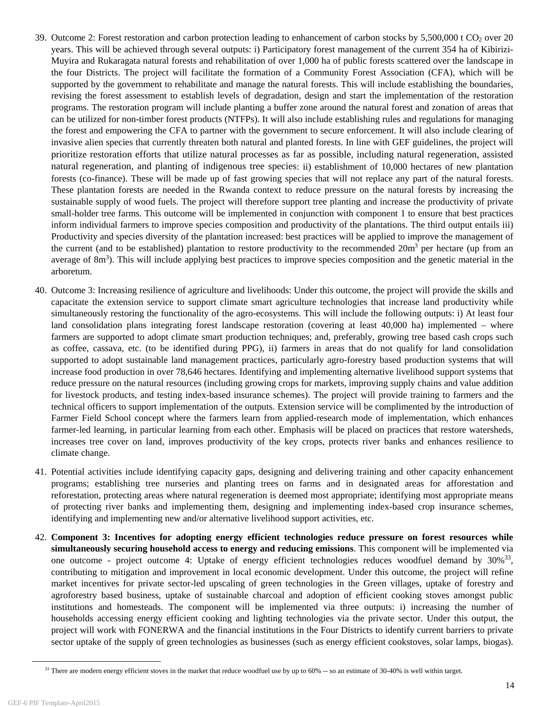- 39. Outcome 2: Forest restoration and carbon protection leading to enhancement of carbon stocks by  $5,500,000$  t CO<sub>2</sub> over 20 years. This will be achieved through several outputs: i) Participatory forest management of the current 354 ha of Kibirizi-Muyira and Rukaragata natural forests and rehabilitation of over 1,000 ha of public forests scattered over the landscape in the four Districts. The project will facilitate the formation of a Community Forest Association (CFA), which will be supported by the government to rehabilitate and manage the natural forests. This will include establishing the boundaries, revising the forest assessment to establish levels of degradation, design and start the implementation of the restoration programs. The restoration program will include planting a buffer zone around the natural forest and zonation of areas that can be utilized for non-timber forest products (NTFPs). It will also include establishing rules and regulations for managing the forest and empowering the CFA to partner with the government to secure enforcement. It will also include clearing of invasive alien species that currently threaten both natural and planted forests. In line with GEF guidelines, the project will prioritize restoration efforts that utilize natural processes as far as possible, including natural regeneration, assisted natural regeneration, and planting of indigenous tree species: ii) establishment of 10,000 hectares of new plantation forests (co-finance). These will be made up of fast growing species that will not replace any part of the natural forests. These plantation forests are needed in the Rwanda context to reduce pressure on the natural forests by increasing the sustainable supply of wood fuels. The project will therefore support tree planting and increase the productivity of private small-holder tree farms. This outcome will be implemented in conjunction with component 1 to ensure that best practices inform individual farmers to improve species composition and productivity of the plantations. The third output entails iii) Productivity and species diversity of the plantation increased: best practices will be applied to improve the management of the current (and to be established) plantation to restore productivity to the recommended  $20m<sup>3</sup>$  per hectare (up from an average of 8m<sup>3</sup>). This will include applying best practices to improve species composition and the genetic material in the arboretum.
- 40. Outcome 3: Increasing resilience of agriculture and livelihoods: Under this outcome, the project will provide the skills and capacitate the extension service to support climate smart agriculture technologies that increase land productivity while simultaneously restoring the functionality of the agro-ecosystems. This will include the following outputs: i) At least four land consolidation plans integrating forest landscape restoration (covering at least 40,000 ha) implemented – where farmers are supported to adopt climate smart production techniques; and, preferably, growing tree based cash crops such as coffee, cassava, etc. (to be identified during PPG), ii) farmers in areas that do not qualify for land consolidation supported to adopt sustainable land management practices, particularly agro-forestry based production systems that will increase food production in over 78,646 hectares. Identifying and implementing alternative livelihood support systems that reduce pressure on the natural resources (including growing crops for markets, improving supply chains and value addition for livestock products, and testing index-based insurance schemes). The project will provide training to farmers and the technical officers to support implementation of the outputs. Extension service will be complimented by the introduction of Farmer Field School concept where the farmers learn from applied-research mode of implementation, which enhances farmer-led learning, in particular learning from each other. Emphasis will be placed on practices that restore watersheds, increases tree cover on land, improves productivity of the key crops, protects river banks and enhances resilience to climate change.
- 41. Potential activities include identifying capacity gaps, designing and delivering training and other capacity enhancement programs; establishing tree nurseries and planting trees on farms and in designated areas for afforestation and reforestation, protecting areas where natural regeneration is deemed most appropriate; identifying most appropriate means of protecting river banks and implementing them, designing and implementing index-based crop insurance schemes, identifying and implementing new and/or alternative livelihood support activities, etc.
- 42. **Component 3: Incentives for adopting energy efficient technologies reduce pressure on forest resources while simultaneously securing household access to energy and reducing emissions**. This component will be implemented via one outcome - project outcome 4: Uptake of energy efficient technologies reduces woodfuel demand by 30%33, contributing to mitigation and improvement in local economic development. Under this outcome, the project will refine market incentives for private sector-led upscaling of green technologies in the Green villages, uptake of forestry and agroforestry based business, uptake of sustainable charcoal and adoption of efficient cooking stoves amongst public institutions and homesteads. The component will be implemented via three outputs: i) increasing the number of households accessing energy efficient cooking and lighting technologies via the private sector. Under this output, the project will work with FONERWA and the financial institutions in the Four Districts to identify current barriers to private sector uptake of the supply of green technologies as businesses (such as energy efficient cookstoves, solar lamps, biogas).

 $33$  There are modern energy efficient stoves in the market that reduce woodfuel use by up to  $60\%$  -- so an estimate of  $30-40\%$  is well within target.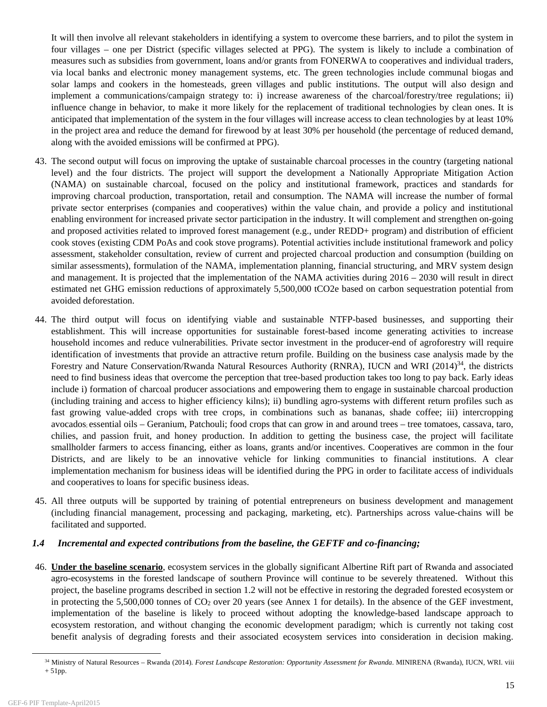It will then involve all relevant stakeholders in identifying a system to overcome these barriers, and to pilot the system in four villages – one per District (specific villages selected at PPG). The system is likely to include a combination of measures such as subsidies from government, loans and/or grants from FONERWA to cooperatives and individual traders, via local banks and electronic money management systems, etc. The green technologies include communal biogas and solar lamps and cookers in the homesteads, green villages and public institutions. The output will also design and implement a communications/campaign strategy to: i) increase awareness of the charcoal/forestry/tree regulations; ii) influence change in behavior, to make it more likely for the replacement of traditional technologies by clean ones. It is anticipated that implementation of the system in the four villages will increase access to clean technologies by at least 10% in the project area and reduce the demand for firewood by at least 30% per household (the percentage of reduced demand, along with the avoided emissions will be confirmed at PPG).

- 43. The second output will focus on improving the uptake of sustainable charcoal processes in the country (targeting national level) and the four districts. The project will support the development a Nationally Appropriate Mitigation Action (NAMA) on sustainable charcoal, focused on the policy and institutional framework, practices and standards for improving charcoal production, transportation, retail and consumption. The NAMA will increase the number of formal private sector enterprises (companies and cooperatives) within the value chain, and provide a policy and institutional enabling environment for increased private sector participation in the industry. It will complement and strengthen on-going and proposed activities related to improved forest management (e.g., under REDD+ program) and distribution of efficient cook stoves (existing CDM PoAs and cook stove programs). Potential activities include institutional framework and policy assessment, stakeholder consultation, review of current and projected charcoal production and consumption (building on similar assessments), formulation of the NAMA, implementation planning, financial structuring, and MRV system design and management. It is projected that the implementation of the NAMA activities during 2016 – 2030 will result in direct estimated net GHG emission reductions of approximately 5,500,000 tCO2e based on carbon sequestration potential from avoided deforestation.
- 44. The third output will focus on identifying viable and sustainable NTFP-based businesses, and supporting their establishment. This will increase opportunities for sustainable forest-based income generating activities to increase household incomes and reduce vulnerabilities. Private sector investment in the producer-end of agroforestry will require identification of investments that provide an attractive return profile. Building on the business case analysis made by the Forestry and Nature Conservation/Rwanda Natural Resources Authority (RNRA), IUCN and WRI (2014)<sup>34</sup>, the districts need to find business ideas that overcome the perception that tree-based production takes too long to pay back. Early ideas include i) formation of charcoal producer associations and empowering them to engage in sustainable charcoal production (including training and access to higher efficiency kilns); ii) bundling agro-systems with different return profiles such as fast growing value-added crops with tree crops, in combinations such as bananas, shade coffee; iii) intercropping avocados; essential oils – Geranium, Patchouli; food crops that can grow in and around trees – tree tomatoes, cassava, taro, chilies, and passion fruit, and honey production. In addition to getting the business case, the project will facilitate smallholder farmers to access financing, either as loans, grants and/or incentives. Cooperatives are common in the four Districts, and are likely to be an innovative vehicle for linking communities to financial institutions. A clear implementation mechanism for business ideas will be identified during the PPG in order to facilitate access of individuals and cooperatives to loans for specific business ideas.
- 45. All three outputs will be supported by training of potential entrepreneurs on business development and management (including financial management, processing and packaging, marketing, etc). Partnerships across value-chains will be facilitated and supported.

# *1.4 Incremental and expected contributions from the baseline, the GEFTF and co-financing;*

46. **Under the baseline scenario**, ecosystem services in the globally significant Albertine Rift part of Rwanda and associated agro-ecosystems in the forested landscape of southern Province will continue to be severely threatened. Without this project, the baseline programs described in section 1.2 will not be effective in restoring the degraded forested ecosystem or in protecting the 5,500,000 tonnes of  $CO<sub>2</sub>$  over 20 years (see Annex 1 for details). In the absence of the GEF investment, implementation of the baseline is likely to proceed without adopting the knowledge-based landscape approach to ecosystem restoration, and without changing the economic development paradigm; which is currently not taking cost benefit analysis of degrading forests and their associated ecosystem services into consideration in decision making.

<sup>&</sup>lt;sup>34</sup> Ministry of Natural Resources – Rwanda (2014). *Forest Landscape Restoration: Opportunity Assessment for Rwanda*. MINIRENA (Rwanda), IUCN, WRI. viii + 51pp.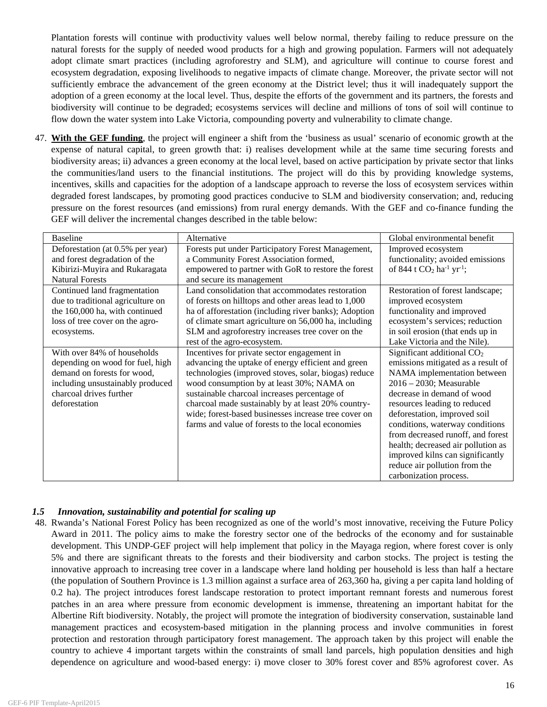Plantation forests will continue with productivity values well below normal, thereby failing to reduce pressure on the natural forests for the supply of needed wood products for a high and growing population. Farmers will not adequately adopt climate smart practices (including agroforestry and SLM), and agriculture will continue to course forest and ecosystem degradation, exposing livelihoods to negative impacts of climate change. Moreover, the private sector will not sufficiently embrace the advancement of the green economy at the District level; thus it will inadequately support the adoption of a green economy at the local level. Thus, despite the efforts of the government and its partners, the forests and biodiversity will continue to be degraded; ecosystems services will decline and millions of tons of soil will continue to flow down the water system into Lake Victoria, compounding poverty and vulnerability to climate change.

47. **With the GEF funding**, the project will engineer a shift from the 'business as usual' scenario of economic growth at the expense of natural capital, to green growth that: i) realises development while at the same time securing forests and biodiversity areas; ii) advances a green economy at the local level, based on active participation by private sector that links the communities/land users to the financial institutions. The project will do this by providing knowledge systems, incentives, skills and capacities for the adoption of a landscape approach to reverse the loss of ecosystem services within degraded forest landscapes, by promoting good practices conducive to SLM and biodiversity conservation; and, reducing pressure on the forest resources (and emissions) from rural energy demands. With the GEF and co-finance funding the GEF will deliver the incremental changes described in the table below:

| <b>Baseline</b>                   | Alternative                                           | Global environmental benefit                       |
|-----------------------------------|-------------------------------------------------------|----------------------------------------------------|
| Deforestation (at 0.5% per year)  | Forests put under Participatory Forest Management,    | Improved ecosystem                                 |
| and forest degradation of the     | a Community Forest Association formed,                | functionality; avoided emissions                   |
| Kibirizi-Muyira and Rukaragata    | empowered to partner with GoR to restore the forest   | of 844 t $CO2$ ha <sup>-1</sup> yr <sup>-1</sup> ; |
| <b>Natural Forests</b>            | and secure its management                             |                                                    |
| Continued land fragmentation      | Land consolidation that accommodates restoration      | Restoration of forest landscape;                   |
| due to traditional agriculture on | of forests on hilltops and other areas lead to 1,000  | improved ecosystem                                 |
| the 160,000 ha, with continued    | ha of afforestation (including river banks); Adoption | functionality and improved                         |
| loss of tree cover on the agro-   | of climate smart agriculture on 56,000 ha, including  | ecosystem's services; reduction                    |
| ecosystems.                       | SLM and agroforestry increases tree cover on the      | in soil erosion (that ends up in                   |
|                                   | rest of the agro-ecosystem.                           | Lake Victoria and the Nile).                       |
| With over 84% of households       | Incentives for private sector engagement in           | Significant additional CO <sub>2</sub>             |
| depending on wood for fuel, high  | advancing the uptake of energy efficient and green    | emissions mitigated as a result of                 |
| demand on forests for wood,       | technologies (improved stoves, solar, biogas) reduce  | NAMA implementation between                        |
| including unsustainably produced  | wood consumption by at least 30%; NAMA on             | $2016 - 2030$ ; Measurable                         |
| charcoal drives further           | sustainable charcoal increases percentage of          | decrease in demand of wood                         |
| deforestation                     | charcoal made sustainably by at least 20% country-    | resources leading to reduced                       |
|                                   | wide; forest-based businesses increase tree cover on  | deforestation, improved soil                       |
|                                   | farms and value of forests to the local economies     | conditions, waterway conditions                    |
|                                   |                                                       | from decreased runoff, and forest                  |
|                                   |                                                       | health; decreased air pollution as                 |
|                                   |                                                       | improved kilns can significantly                   |
|                                   |                                                       | reduce air pollution from the                      |
|                                   |                                                       | carbonization process.                             |

# *1.5 Innovation, sustainability and potential for scaling up*

48. Rwanda's National Forest Policy has been recognized as one of the world's most innovative, receiving the Future Policy Award in 2011. The policy aims to make the forestry sector one of the bedrocks of the economy and for sustainable development. This UNDP-GEF project will help implement that policy in the Mayaga region, where forest cover is only 5% and there are significant threats to the forests and their biodiversity and carbon stocks. The project is testing the innovative approach to increasing tree cover in a landscape where land holding per household is less than half a hectare (the population of Southern Province is 1.3 million against a surface area of 263,360 ha, giving a per capita land holding of 0.2 ha). The project introduces forest landscape restoration to protect important remnant forests and numerous forest patches in an area where pressure from economic development is immense, threatening an important habitat for the Albertine Rift biodiversity. Notably, the project will promote the integration of biodiversity conservation, sustainable land management practices and ecosystem-based mitigation in the planning process and involve communities in forest protection and restoration through participatory forest management. The approach taken by this project will enable the country to achieve 4 important targets within the constraints of small land parcels, high population densities and high dependence on agriculture and wood-based energy: i) move closer to 30% forest cover and 85% agroforest cover. As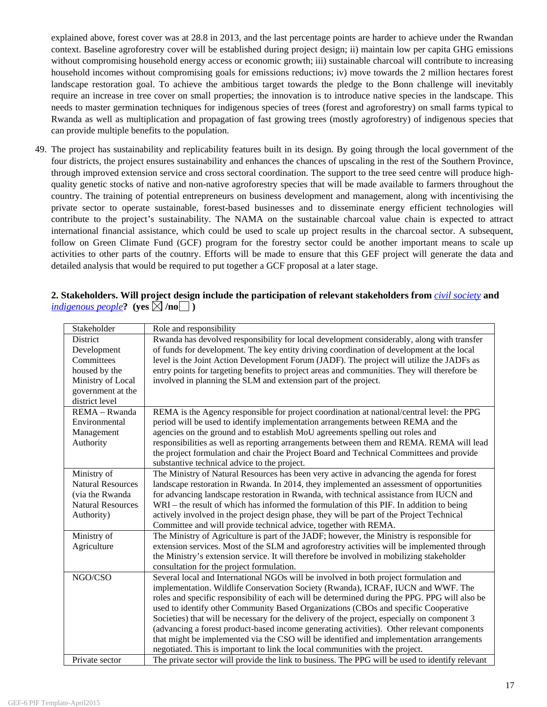explained above, forest cover was at 28.8 in 2013, and the last percentage points are harder to achieve under the Rwandan context. Baseline agroforestry cover will be established during project design; ii) maintain low per capita GHG emissions without compromising household energy access or economic growth; iii) sustainable charcoal will contribute to increasing household incomes without compromising goals for emissions reductions; iv) move towards the 2 million hectares forest landscape restoration goal. To achieve the ambitious target towards the pledge to the Bonn challenge will inevitably require an increase in tree cover on small properties; the innovation is to introduce native species in the landscape. This needs to master germination techniques for indigenous species of trees (forest and agroforestry) on small farms typical to Rwanda as well as multiplication and propagation of fast growing trees (mostly agroforestry) of indigenous species that can provide multiple benefits to the population.

49. The project has sustainability and replicability features built in its design. By going through the local government of the four districts, the project ensures sustainability and enhances the chances of upscaling in the rest of the Southern Province, through improved extension service and cross sectoral coordination. The support to the tree seed centre will produce highquality genetic stocks of native and non-native agroforestry species that will be made available to farmers throughout the country. The training of potential entrepreneurs on business development and management, along with incentivising the private sector to operate sustainable, forest-based businesses and to disseminate energy efficient technologies will contribute to the project's sustainability. The NAMA on the sustainable charcoal value chain is expected to attract international financial assistance, which could be used to scale up project results in the charcoal sector. A subsequent, follow on Green Climate Fund (GCF) program for the forestry sector could be another important means to scale up activities to other parts of the coutnry. Efforts will be made to ensure that this GEF project will generate the data and detailed analysis that would be required to put together a GCF proposal at a later stage.

# **2. Stakeholders. Will project design include the participation of relevant stakeholders from** *civil society* **and**  *indigenous people*? (yes  $\boxtimes$  /no  $\Box$ )

| Stakeholder              | Role and responsibility                                                                         |
|--------------------------|-------------------------------------------------------------------------------------------------|
| District                 | Rwanda has devolved responsibility for local development considerably, along with transfer      |
| Development              | of funds for development. The key entity driving coordination of development at the local       |
| Committees               | level is the Joint Action Development Forum (JADF). The project will utilize the JADFs as       |
| housed by the            | entry points for targeting benefits to project areas and communities. They will therefore be    |
| Ministry of Local        | involved in planning the SLM and extension part of the project.                                 |
| government at the        |                                                                                                 |
| district level           |                                                                                                 |
| REMA - Rwanda            | REMA is the Agency responsible for project coordination at national/central level: the PPG      |
| Environmental            | period will be used to identify implementation arrangements between REMA and the                |
| Management               | agencies on the ground and to establish MoU agreements spelling out roles and                   |
| Authority                | responsibilities as well as reporting arrangements between them and REMA. REMA will lead        |
|                          | the project formulation and chair the Project Board and Technical Committees and provide        |
|                          | substantive technical advice to the project.                                                    |
| Ministry of              | The Ministry of Natural Resources has been very active in advancing the agenda for forest       |
| <b>Natural Resources</b> | landscape restoration in Rwanda. In 2014, they implemented an assessment of opportunities       |
| (via the Rwanda          | for advancing landscape restoration in Rwanda, with technical assistance from IUCN and          |
| <b>Natural Resources</b> | WRI – the result of which has informed the formulation of this PIF. In addition to being        |
| Authority)               | actively involved in the project design phase, they will be part of the Project Technical       |
|                          | Committee and will provide technical advice, together with REMA.                                |
| Ministry of              | The Ministry of Agriculture is part of the JADF; however, the Ministry is responsible for       |
| Agriculture              | extension services. Most of the SLM and agroforestry activities will be implemented through     |
|                          | the Ministry's extension service. It will therefore be involved in mobilizing stakeholder       |
|                          | consultation for the project formulation.                                                       |
| NGO/CSO                  | Several local and International NGOs will be involved in both project formulation and           |
|                          | implementation. Wildlife Conservation Society (Rwanda), ICRAF, IUCN and WWF. The                |
|                          | roles and specific responsibility of each will be determined during the PPG. PPG will also be   |
|                          | used to identify other Community Based Organizations (CBOs and specific Cooperative             |
|                          | Societies) that will be necessary for the delivery of the project, especially on component 3    |
|                          | (advancing a forest product-based income generating activities). Other relevant components      |
|                          | that might be implemented via the CSO will be identified and implementation arrangements        |
|                          | negotiated. This is important to link the local communities with the project.                   |
| Private sector           | The private sector will provide the link to business. The PPG will be used to identify relevant |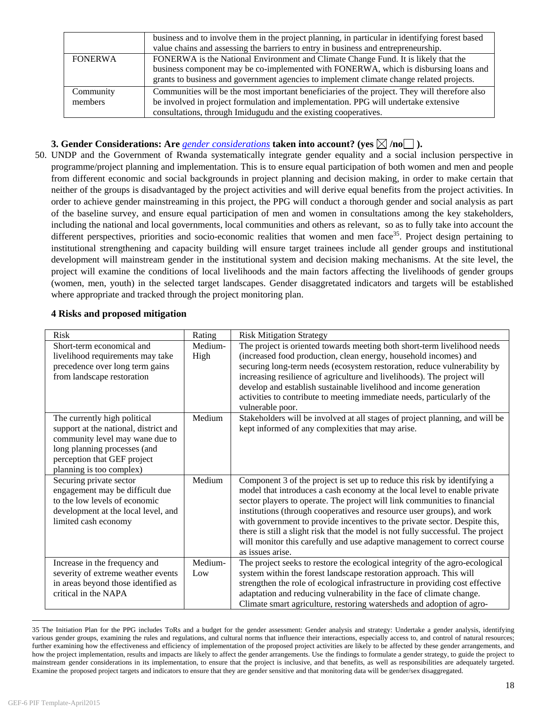|                | business and to involve them in the project planning, in particular in identifying forest based |
|----------------|-------------------------------------------------------------------------------------------------|
|                | value chains and assessing the barriers to entry in business and entrepreneurship.              |
| <b>FONERWA</b> | FONERWA is the National Environment and Climate Change Fund. It is likely that the              |
|                | business component may be co-implemented with FONERWA, which is disbursing loans and            |
|                | grants to business and government agencies to implement climate change related projects.        |
| Community      | Communities will be the most important beneficiaries of the project. They will therefore also   |
| members        | be involved in project formulation and implementation. PPG will undertake extensive             |
|                | consultations, through Imidugudu and the existing cooperatives.                                 |

# **3. Gender Considerations: Are** *gender considerations* **taken into account?** (yes  $\boxtimes$  /no ).

50. UNDP and the Government of Rwanda systematically integrate gender equality and a social inclusion perspective in programme/project planning and implementation. This is to ensure equal participation of both women and men and people from different economic and social backgrounds in project planning and decision making, in order to make certain that neither of the groups is disadvantaged by the project activities and will derive equal benefits from the project activities. In order to achieve gender mainstreaming in this project, the PPG will conduct a thorough gender and social analysis as part of the baseline survey, and ensure equal participation of men and women in consultations among the key stakeholders, including the national and local governments, local communities and others as relevant, so as to fully take into account the different perspectives, priorities and socio-economic realities that women and men face<sup>35</sup>. Project design pertaining to institutional strengthening and capacity building will ensure target trainees include all gender groups and institutional development will mainstream gender in the institutional system and decision making mechanisms. At the site level, the project will examine the conditions of local livelihoods and the main factors affecting the livelihoods of gender groups (women, men, youth) in the selected target landscapes. Gender disaggretated indicators and targets will be established where appropriate and tracked through the project monitoring plan.

# **4 Risks and proposed mitigation**

| <b>Risk</b>                                                                                                                                                                                         | Rating          | <b>Risk Mitigation Strategy</b>                                                                                                                                                                                                                                                                                                                                                                                                                                                                                                                                                  |
|-----------------------------------------------------------------------------------------------------------------------------------------------------------------------------------------------------|-----------------|----------------------------------------------------------------------------------------------------------------------------------------------------------------------------------------------------------------------------------------------------------------------------------------------------------------------------------------------------------------------------------------------------------------------------------------------------------------------------------------------------------------------------------------------------------------------------------|
| Short-term economical and<br>livelihood requirements may take<br>precedence over long term gains<br>from landscape restoration                                                                      | Medium-<br>High | The project is oriented towards meeting both short-term livelihood needs<br>(increased food production, clean energy, household incomes) and<br>securing long-term needs (ecosystem restoration, reduce vulnerability by<br>increasing resilience of agriculture and livelihoods). The project will<br>develop and establish sustainable livelihood and income generation<br>activities to contribute to meeting immediate needs, particularly of the<br>vulnerable poor.                                                                                                        |
| The currently high political<br>support at the national, district and<br>community level may wane due to<br>long planning processes (and<br>perception that GEF project<br>planning is too complex) | Medium          | Stakeholders will be involved at all stages of project planning, and will be<br>kept informed of any complexities that may arise.                                                                                                                                                                                                                                                                                                                                                                                                                                                |
| Securing private sector<br>engagement may be difficult due<br>to the low levels of economic<br>development at the local level, and<br>limited cash economy                                          | Medium          | Component 3 of the project is set up to reduce this risk by identifying a<br>model that introduces a cash economy at the local level to enable private<br>sector players to operate. The project will link communities to financial<br>institutions (through cooperatives and resource user groups), and work<br>with government to provide incentives to the private sector. Despite this,<br>there is still a slight risk that the model is not fully successful. The project<br>will monitor this carefully and use adaptive management to correct course<br>as issues arise. |
| Increase in the frequency and<br>severity of extreme weather events<br>in areas beyond those identified as<br>critical in the NAPA                                                                  | Medium-<br>Low  | The project seeks to restore the ecological integrity of the agro-ecological<br>system within the forest landscape restoration approach. This will<br>strengthen the role of ecological infrastructure in providing cost effective<br>adaptation and reducing vulnerability in the face of climate change.<br>Climate smart agriculture, restoring watersheds and adoption of agro-                                                                                                                                                                                              |

<sup>35</sup> The Initiation Plan for the PPG includes ToRs and a budget for the gender assessment: Gender analysis and strategy: Undertake a gender analysis, identifying various gender groups, examining the rules and regulations, and cultural norms that influence their interactions, especially access to, and control of natural resources; further examining how the effectiveness and efficiency of implementation of the proposed project activities are likely to be affected by these gender arrangements, and how the project implementation, results and impacts are likely to affect the gender arrangements. Use the findings to formulate a gender strategy, to guide the project to mainstream gender considerations in its implementation, to ensure that the project is inclusive, and that benefits, as well as responsibilities are adequately targeted. Examine the proposed project targets and indicators to ensure that they are gender sensitive and that monitoring data will be gender/sex disaggregated.

 $\overline{a}$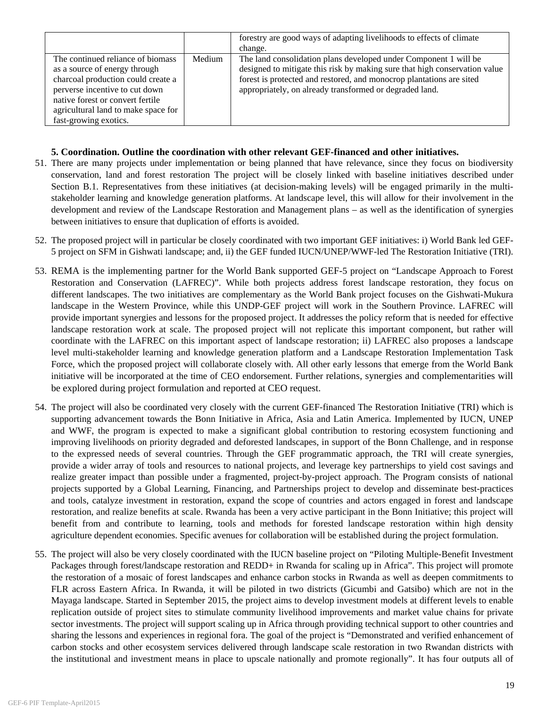|                                                                                                                                                                                                                       |        | forestry are good ways of adapting livelihoods to effects of climate                                                                                                                                                                                                              |
|-----------------------------------------------------------------------------------------------------------------------------------------------------------------------------------------------------------------------|--------|-----------------------------------------------------------------------------------------------------------------------------------------------------------------------------------------------------------------------------------------------------------------------------------|
|                                                                                                                                                                                                                       |        | change.                                                                                                                                                                                                                                                                           |
| The continued reliance of biomass<br>as a source of energy through<br>charcoal production could create a<br>perverse incentive to cut down<br>native forest or convert fertile<br>agricultural land to make space for | Medium | The land consolidation plans developed under Component 1 will be<br>designed to mitigate this risk by making sure that high conservation value<br>forest is protected and restored, and monocrop plantations are sited<br>appropriately, on already transformed or degraded land. |
| fast-growing exotics.                                                                                                                                                                                                 |        |                                                                                                                                                                                                                                                                                   |

# **5. Coordination. Outline the coordination with other relevant GEF-financed and other initiatives.**

- 51. There are many projects under implementation or being planned that have relevance, since they focus on biodiversity conservation, land and forest restoration The project will be closely linked with baseline initiatives described under Section B.1. Representatives from these initiatives (at decision-making levels) will be engaged primarily in the multistakeholder learning and knowledge generation platforms. At landscape level, this will allow for their involvement in the development and review of the Landscape Restoration and Management plans – as well as the identification of synergies between initiatives to ensure that duplication of efforts is avoided.
- 52. The proposed project will in particular be closely coordinated with two important GEF initiatives: i) World Bank led GEF-5 project on SFM in Gishwati landscape; and, ii) the GEF funded IUCN/UNEP/WWF-led The Restoration Initiative (TRI).
- 53. REMA is the implementing partner for the World Bank supported GEF-5 project on "Landscape Approach to Forest Restoration and Conservation (LAFREC)". While both projects address forest landscape restoration, they focus on different landscapes. The two initiatives are complementary as the World Bank project focuses on the Gishwati-Mukura landscape in the Western Province, while this UNDP-GEF project will work in the Southern Province. LAFREC will provide important synergies and lessons for the proposed project. It addresses the policy reform that is needed for effective landscape restoration work at scale. The proposed project will not replicate this important component, but rather will coordinate with the LAFREC on this important aspect of landscape restoration; ii) LAFREC also proposes a landscape level multi-stakeholder learning and knowledge generation platform and a Landscape Restoration Implementation Task Force, which the proposed project will collaborate closely with. All other early lessons that emerge from the World Bank initiative will be incorporated at the time of CEO endorsement. Further relations, synergies and complementarities will be explored during project formulation and reported at CEO request.
- 54. The project will also be coordinated very closely with the current GEF-financed The Restoration Initiative (TRI) which is supporting advancement towards the Bonn Initiative in Africa, Asia and Latin America. Implemented by IUCN, UNEP and WWF, the program is expected to make a significant global contribution to restoring ecosystem functioning and improving livelihoods on priority degraded and deforested landscapes, in support of the Bonn Challenge, and in response to the expressed needs of several countries. Through the GEF programmatic approach, the TRI will create synergies, provide a wider array of tools and resources to national projects, and leverage key partnerships to yield cost savings and realize greater impact than possible under a fragmented, project-by-project approach. The Program consists of national projects supported by a Global Learning, Financing, and Partnerships project to develop and disseminate best-practices and tools, catalyze investment in restoration, expand the scope of countries and actors engaged in forest and landscape restoration, and realize benefits at scale. Rwanda has been a very active participant in the Bonn Initiative; this project will benefit from and contribute to learning, tools and methods for forested landscape restoration within high density agriculture dependent economies. Specific avenues for collaboration will be established during the project formulation.
- 55. The project will also be very closely coordinated with the IUCN baseline project on "Piloting Multiple-Benefit Investment Packages through forest/landscape restoration and REDD+ in Rwanda for scaling up in Africa". This project will promote the restoration of a mosaic of forest landscapes and enhance carbon stocks in Rwanda as well as deepen commitments to FLR across Eastern Africa. In Rwanda, it will be piloted in two districts (Gicumbi and Gatsibo) which are not in the Mayaga landscape. Started in September 2015, the project aims to develop investment models at different levels to enable replication outside of project sites to stimulate community livelihood improvements and market value chains for private sector investments. The project will support scaling up in Africa through providing technical support to other countries and sharing the lessons and experiences in regional fora. The goal of the project is "Demonstrated and verified enhancement of carbon stocks and other ecosystem services delivered through landscape scale restoration in two Rwandan districts with the institutional and investment means in place to upscale nationally and promote regionally". It has four outputs all of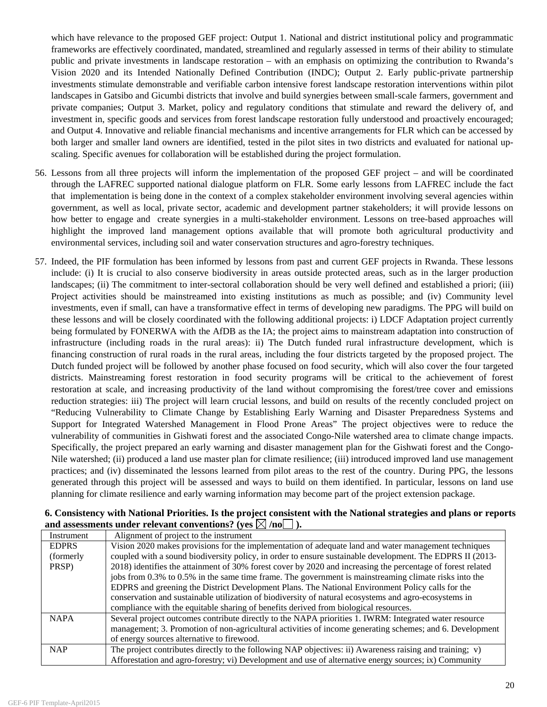which have relevance to the proposed GEF project: Output 1. National and district institutional policy and programmatic frameworks are effectively coordinated, mandated, streamlined and regularly assessed in terms of their ability to stimulate public and private investments in landscape restoration – with an emphasis on optimizing the contribution to Rwanda's Vision 2020 and its Intended Nationally Defined Contribution (INDC); Output 2. Early public-private partnership investments stimulate demonstrable and verifiable carbon intensive forest landscape restoration interventions within pilot landscapes in Gatsibo and Gicumbi districts that involve and build synergies between small-scale farmers, government and private companies; Output 3. Market, policy and regulatory conditions that stimulate and reward the delivery of, and investment in, specific goods and services from forest landscape restoration fully understood and proactively encouraged; and Output 4. Innovative and reliable financial mechanisms and incentive arrangements for FLR which can be accessed by both larger and smaller land owners are identified, tested in the pilot sites in two districts and evaluated for national upscaling. Specific avenues for collaboration will be established during the project formulation.

- 56. Lessons from all three projects will inform the implementation of the proposed GEF project and will be coordinated through the LAFREC supported national dialogue platform on FLR. Some early lessons from LAFREC include the fact that implementation is being done in the context of a complex stakeholder environment involving several agencies within government, as well as local, private sector, academic and development partner stakeholders; it will provide lessons on how better to engage and create synergies in a multi-stakeholder environment. Lessons on tree-based approaches will highlight the improved land management options available that will promote both agricultural productivity and environmental services, including soil and water conservation structures and agro-forestry techniques.
- 57. Indeed, the PIF formulation has been informed by lessons from past and current GEF projects in Rwanda. These lessons include: (i) It is crucial to also conserve biodiversity in areas outside protected areas, such as in the larger production landscapes; (ii) The commitment to inter-sectoral collaboration should be very well defined and established a priori; (iii) Project activities should be mainstreamed into existing institutions as much as possible; and (iv) Community level investments, even if small, can have a transformative effect in terms of developing new paradigms. The PPG will build on these lessons and will be closely coordinated with the following additional projects: i) LDCF Adaptation project currently being formulated by FONERWA with the AfDB as the IA; the project aims to mainstream adaptation into construction of infrastructure (including roads in the rural areas): ii) The Dutch funded rural infrastructure development, which is financing construction of rural roads in the rural areas, including the four districts targeted by the proposed project. The Dutch funded project will be followed by another phase focused on food security, which will also cover the four targeted districts. Mainstreaming forest restoration in food security programs will be critical to the achievement of forest restoration at scale, and increasing productivity of the land without compromising the forest/tree cover and emissions reduction strategies: iii) The project will learn crucial lessons, and build on results of the recently concluded project on "Reducing Vulnerability to Climate Change by Establishing Early Warning and Disaster Preparedness Systems and Support for Integrated Watershed Management in Flood Prone Areas" The project objectives were to reduce the vulnerability of communities in Gishwati forest and the associated Congo-Nile watershed area to climate change impacts. Specifically, the project prepared an early warning and disaster management plan for the Gishwati forest and the Congo-Nile watershed; (ii) produced a land use master plan for climate resilience; (iii) introduced improved land use management practices; and (iv) disseminated the lessons learned from pilot areas to the rest of the country. During PPG, the lessons generated through this project will be assessed and ways to build on them identified. In particular, lessons on land use planning for climate resilience and early warning information may become part of the project extension package.

| Instrument   | $\mathbf{u}$ $\mathbf{u}$ $\mathbf{v}$ $\mathbf{v}$ $\mathbf{v}$ $\mathbf{v}$ $\mathbf{v}$ $\mathbf{v}$ $\mathbf{v}$ $\mathbf{v}$ $\mathbf{v}$ $\mathbf{v}$ $\mathbf{v}$ $\mathbf{v}$ $\mathbf{v}$ $\mathbf{v}$ $\mathbf{v}$ $\mathbf{v}$ $\mathbf{v}$ $\mathbf{v}$ $\mathbf{v}$ $\mathbf{v}$ $\mathbf{v}$ $\mathbf{v}$ $\mathbf{$<br>Alignment of project to the instrument |
|--------------|------------------------------------------------------------------------------------------------------------------------------------------------------------------------------------------------------------------------------------------------------------------------------------------------------------------------------------------------------------------------------|
| <b>EDPRS</b> | Vision 2020 makes provisions for the implementation of adequate land and water management techniques                                                                                                                                                                                                                                                                         |
| (formerly)   | coupled with a sound biodiversity policy, in order to ensure sustainable development. The EDPRS II (2013-                                                                                                                                                                                                                                                                    |
| PRSP)        | 2018) identifies the attainment of 30% forest cover by 2020 and increasing the percentage of forest related                                                                                                                                                                                                                                                                  |
|              | jobs from 0.3% to 0.5% in the same time frame. The government is mainstreaming climate risks into the                                                                                                                                                                                                                                                                        |
|              | EDPRS and greening the District Development Plans. The National Environment Policy calls for the                                                                                                                                                                                                                                                                             |
|              | conservation and sustainable utilization of biodiversity of natural ecosystems and agro-ecosystems in                                                                                                                                                                                                                                                                        |
|              | compliance with the equitable sharing of benefits derived from biological resources.                                                                                                                                                                                                                                                                                         |
| <b>NAPA</b>  | Several project outcomes contribute directly to the NAPA priorities 1. IWRM: Integrated water resource                                                                                                                                                                                                                                                                       |
|              | management; 3. Promotion of non-agricultural activities of income generating schemes; and 6. Development                                                                                                                                                                                                                                                                     |
|              | of energy sources alternative to firewood.                                                                                                                                                                                                                                                                                                                                   |
| <b>NAP</b>   | The project contributes directly to the following NAP objectives: ii) Awareness raising and training; v)                                                                                                                                                                                                                                                                     |
|              | Afforestation and agro-forestry; vi) Development and use of alternative energy sources; ix) Community                                                                                                                                                                                                                                                                        |

|                                                                            | 6. Consistency with National Priorities. Is the project consistent with the National strategies and plans or reports |  |  |  |  |
|----------------------------------------------------------------------------|----------------------------------------------------------------------------------------------------------------------|--|--|--|--|
| and assessments under relevant conventions? (yes $\boxtimes$ /no $\Box$ ). |                                                                                                                      |  |  |  |  |
|                                                                            |                                                                                                                      |  |  |  |  |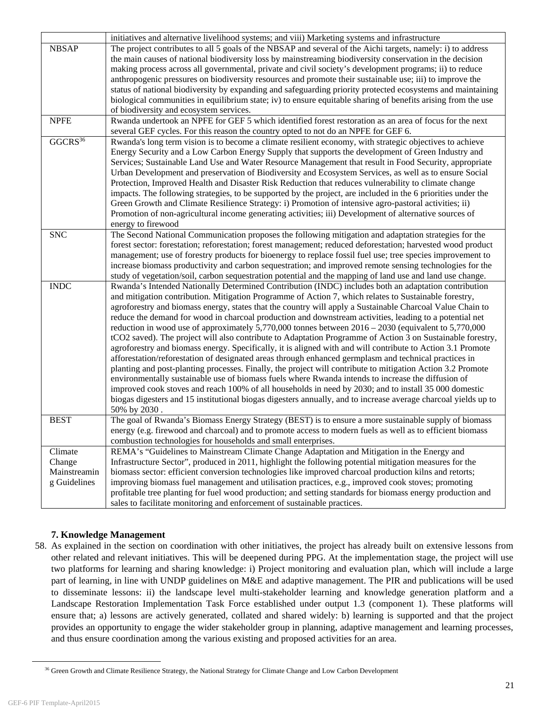|                         | initiatives and alternative livelihood systems; and viii) Marketing systems and infrastructure                 |
|-------------------------|----------------------------------------------------------------------------------------------------------------|
| <b>NBSAP</b>            | The project contributes to all 5 goals of the NBSAP and several of the Aichi targets, namely: i) to address    |
|                         | the main causes of national biodiversity loss by mainstreaming biodiversity conservation in the decision       |
|                         | making process across all governmental, private and civil society's development programs; ii) to reduce        |
|                         | anthropogenic pressures on biodiversity resources and promote their sustainable use; iii) to improve the       |
|                         | status of national biodiversity by expanding and safeguarding priority protected ecosystems and maintaining    |
|                         | biological communities in equilibrium state; iv) to ensure equitable sharing of benefits arising from the use  |
|                         | of biodiversity and ecosystem services.                                                                        |
| <b>NPFE</b>             | Rwanda undertook an NPFE for GEF 5 which identified forest restoration as an area of focus for the next        |
|                         | several GEF cycles. For this reason the country opted to not do an NPFE for GEF 6.                             |
| $G\overline{GCRS^{36}}$ | Rwanda's long term vision is to become a climate resilient economy, with strategic objectives to achieve       |
|                         | Energy Security and a Low Carbon Energy Supply that supports the development of Green Industry and             |
|                         | Services; Sustainable Land Use and Water Resource Management that result in Food Security, appropriate         |
|                         | Urban Development and preservation of Biodiversity and Ecosystem Services, as well as to ensure Social         |
|                         | Protection, Improved Health and Disaster Risk Reduction that reduces vulnerability to climate change           |
|                         | impacts. The following strategies, to be supported by the project, are included in the 6 priorities under the  |
|                         | Green Growth and Climate Resilience Strategy: i) Promotion of intensive agro-pastoral activities; ii)          |
|                         | Promotion of non-agricultural income generating activities; iii) Development of alternative sources of         |
|                         | energy to firewood                                                                                             |
| <b>SNC</b>              | The Second National Communication proposes the following mitigation and adaptation strategies for the          |
|                         | forest sector: forestation; reforestation; forest management; reduced deforestation; harvested wood product    |
|                         | management; use of forestry products for bioenergy to replace fossil fuel use; tree species improvement to     |
|                         | increase biomass productivity and carbon sequestration; and improved remote sensing technologies for the       |
|                         | study of vegetation/soil, carbon sequestration potential and the mapping of land use and land use change.      |
| <b>INDC</b>             | Rwanda's Intended Nationally Determined Contribution (INDC) includes both an adaptation contribution           |
|                         | and mitigation contribution. Mitigation Programme of Action 7, which relates to Sustainable forestry,          |
|                         | agroforestry and biomass energy, states that the country will apply a Sustainable Charcoal Value Chain to      |
|                         | reduce the demand for wood in charcoal production and downstream activities, leading to a potential net        |
|                         |                                                                                                                |
|                         | reduction in wood use of approximately 5,770,000 tonnes between $2016 - 2030$ (equivalent to 5,770,000)        |
|                         | tCO2 saved). The project will also contribute to Adaptation Programme of Action 3 on Sustainable forestry,     |
|                         | agroforestry and biomass energy. Specifically, it is aligned with and will contribute to Action 3.1 Promote    |
|                         | afforestation/reforestation of designated areas through enhanced germplasm and technical practices in          |
|                         | planting and post-planting processes. Finally, the project will contribute to mitigation Action 3.2 Promote    |
|                         | environmentally sustainable use of biomass fuels where Rwanda intends to increase the diffusion of             |
|                         | improved cook stoves and reach 100% of all households in need by 2030; and to install 35 000 domestic          |
|                         | biogas digesters and 15 institutional biogas digesters annually, and to increase average charcoal yields up to |
|                         | 50% by 2030.                                                                                                   |
| <b>BEST</b>             | The goal of Rwanda's Biomass Energy Strategy (BEST) is to ensure a more sustainable supply of biomass          |
|                         | energy (e.g. firewood and charcoal) and to promote access to modern fuels as well as to efficient biomass      |
|                         | combustion technologies for households and small enterprises.                                                  |
| Climate                 | REMA's "Guidelines to Mainstream Climate Change Adaptation and Mitigation in the Energy and                    |
| Change                  | Infrastructure Sector", produced in 2011, highlight the following potential mitigation measures for the        |
| Mainstreamin            | biomass sector: efficient conversion technologies like improved charcoal production kilns and retorts;         |
| g Guidelines            | improving biomass fuel management and utilisation practices, e.g., improved cook stoves; promoting             |
|                         | profitable tree planting for fuel wood production; and setting standards for biomass energy production and     |
|                         | sales to facilitate monitoring and enforcement of sustainable practices.                                       |
|                         |                                                                                                                |

# **7. Knowledge Management**

58. As explained in the section on coordination with other initiatives, the project has already built on extensive lessons from other related and relevant initiatives. This will be deepened during PPG. At the implementation stage, the project will use two platforms for learning and sharing knowledge: i) Project monitoring and evaluation plan, which will include a large part of learning, in line with UNDP guidelines on M&E and adaptive management. The PIR and publications will be used to disseminate lessons: ii) the landscape level multi-stakeholder learning and knowledge generation platform and a Landscape Restoration Implementation Task Force established under output 1.3 (component 1). These platforms will ensure that; a) lessons are actively generated, collated and shared widely: b) learning is supported and that the project provides an opportunity to engage the wider stakeholder group in planning, adaptive management and learning processes, and thus ensure coordination among the various existing and proposed activities for an area.

<sup>&</sup>lt;sup>36</sup> Green Growth and Climate Resilience Strategy, the National Strategy for Climate Change and Low Carbon Development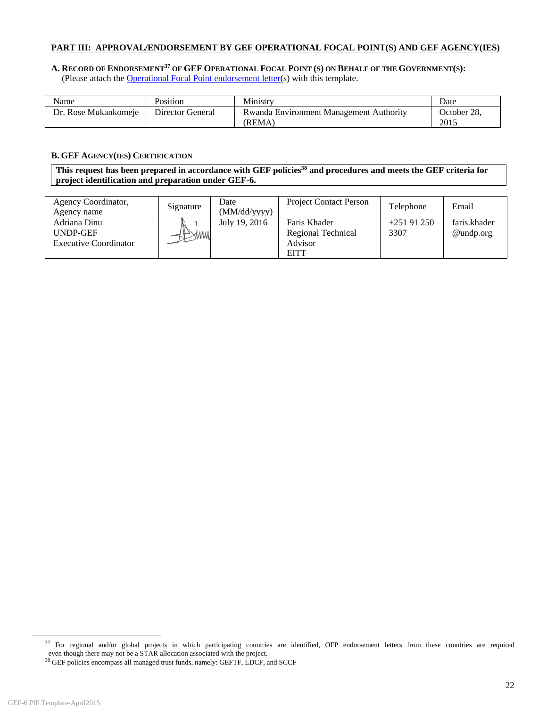#### **PART III: APPROVAL/ENDORSEMENT BY GEF OPERATIONAL FOCAL POINT(S) AND GEF AGENCY(IES)**

#### **A. RECORD OF ENDORSEMENT37 OF GEF OPERATIONAL FOCAL POINT (S) ON BEHALF OF THE GOVERNMENT(S):** (Please attach the Operational Focal Point endorsement letter(s) with this template.

| Name                 | Position         | Ministry                                                 | Date                |
|----------------------|------------------|----------------------------------------------------------|---------------------|
| Dr. Rose Mukankomeje | Director General | <b>Rwanda Environment Management Authority</b><br>(REMA) | October 28.<br>2015 |

#### **B. GEF AGENCY(IES) CERTIFICATION**

This request has been prepared in accordance with GEF policies<sup>38</sup> and procedures and meets the GEF criteria for **project identification and preparation under GEF-6.** 

| Agency Coordinator,<br>Agency name                              | Signature | Date<br>(MM/dd/yyyy) | <b>Project Contact Person</b>                                | Telephone           | Email                        |
|-----------------------------------------------------------------|-----------|----------------------|--------------------------------------------------------------|---------------------|------------------------------|
| Adriana Dinu<br><b>UNDP-GEF</b><br><b>Executive Coordinator</b> |           | July 19, 2016        | Faris Khader<br>Regional Technical<br>Advisor<br><b>EITT</b> | $+25191250$<br>3307 | faris.khader<br>$@$ undp.org |

 $37$  For regional and/or global projects in which participating countries are identified, OFP endorsement letters from these countries are required even though there may not be a STAR allocation associated with the projec

 $^{38}$  GEF policies encompass all managed trust funds, namely: GEFTF, LDCF, and SCCF